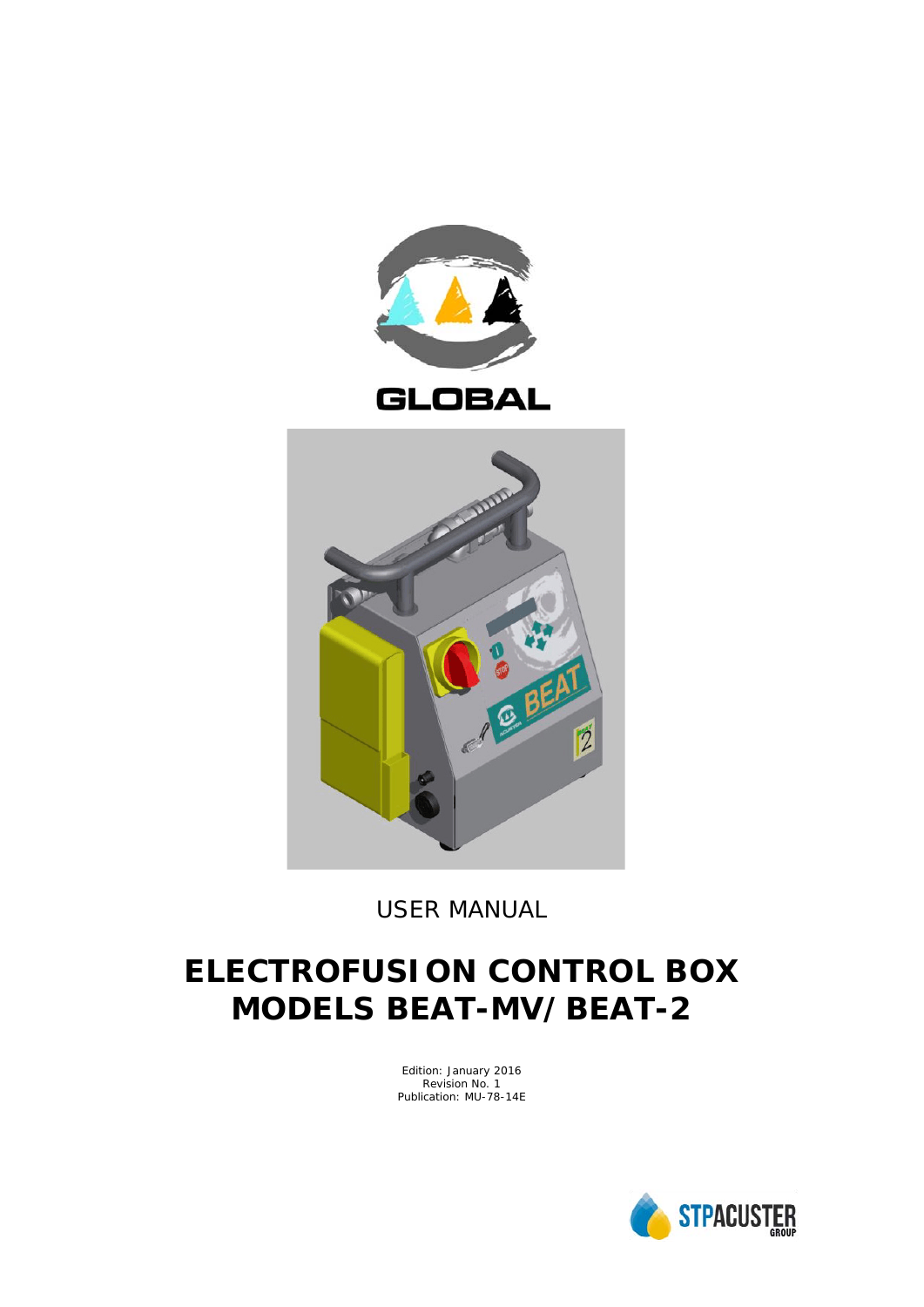

*USER MANUAL*

# **ELECTROFUSION CONTROL BOX MODELS BEAT-MV/BEAT-2**

Edition: January 2016 Revision No. 1 Publication: MU-78-14E

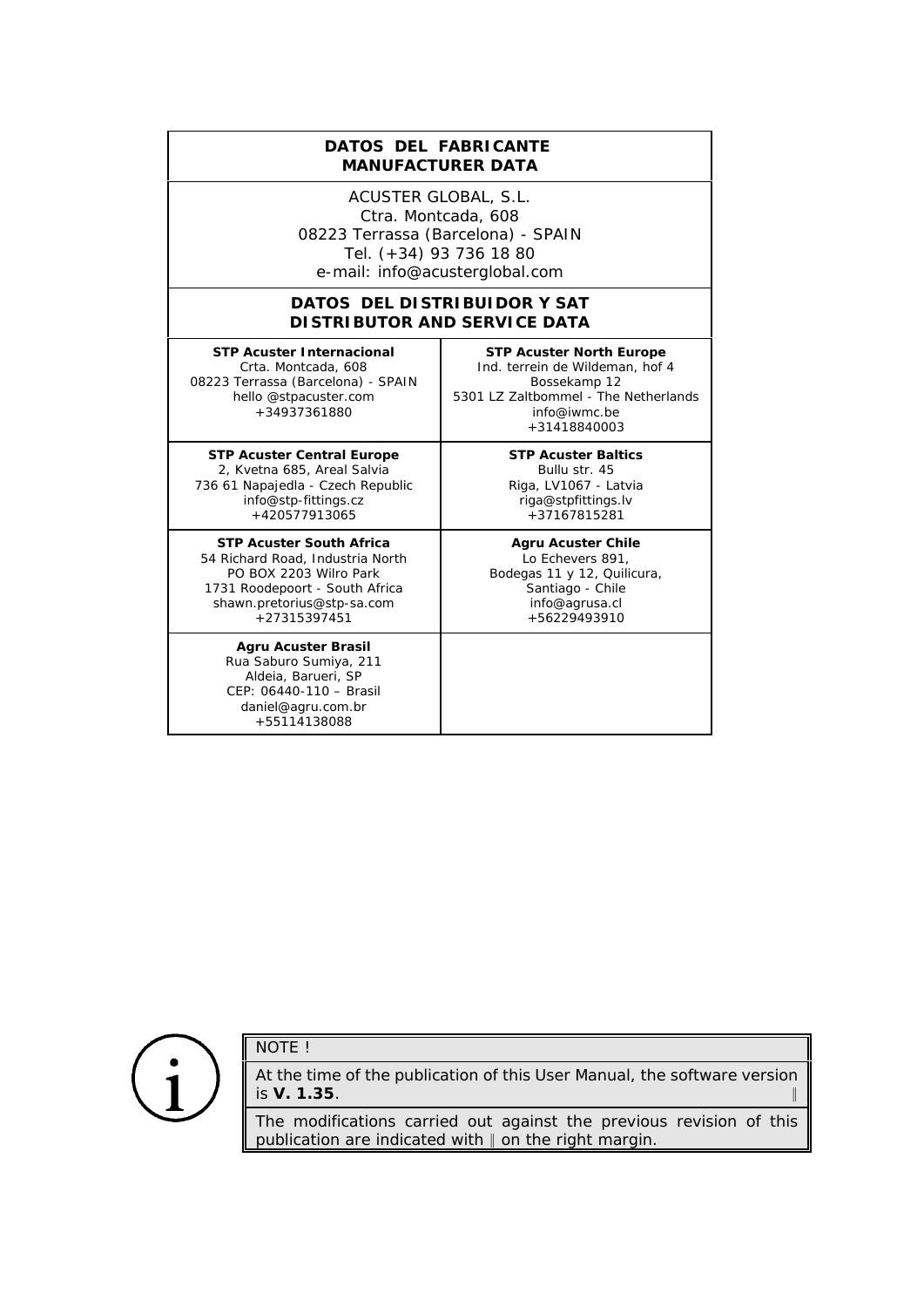# **DATOS DEL FABRICANTE**  *MANUFACTURER DATA*

ACUSTER GLOBAL, S.L. Ctra. Montcada, 608 08223 Terrassa (Barcelona) - SPAIN Tel. (+34) 93 736 18 80 e-mail: info@acusterglobal.com

## **DATOS DEL DISTRIBUIDOR Y SAT** *DISTRIBUTOR AND SERVICE DATA*

**STP Acuster Internacional** Crta. Montcada, 608 08223 Terrassa (Barcelona) - SPAIN hello @stpacuster.com +34937361880

**STP Acuster Central Europe** 2, Kvetna 685, Areal Salvia 736 61 Napajedla - Czech Republic info@stp-fittings.cz +420577913065

**STP Acuster South Africa** 54 Richard Road, Industria North PO BOX 2203 Wilro Park 1731 Roodepoort - South Africa shawn.pretorius@stp-sa.com +27315397451

**Agru Acuster Brasil** Rua Saburo Sumiya, 211 Aldeia, Barueri, SP CEP: 06440-110 – Brasil daniel@agru.com.br +55114138088

**STP Acuster North Europe** Ind. terrein de Wildeman, hof 4 Bossekamp 12 5301 LZ Zaltbommel - The Netherlands info@iwmc.be +31418840003

> **STP Acuster Baltics** Bullu str. 45 Riga, LV1067 - Latvia riga@stpfittings.lv +37167815281

**Agru Acuster Chile** Lo Echevers 891, Bodegas 11 y 12, Quilicura, Santiago - Chile info@agrusa.cl +56229493910



# NOTE !

At the time of the publication of this *User Manual*, the software version is **V. 1.35**. 2

The modifications carried out against the previous revision of this publication are indicated with  $\parallel$  on the right margin.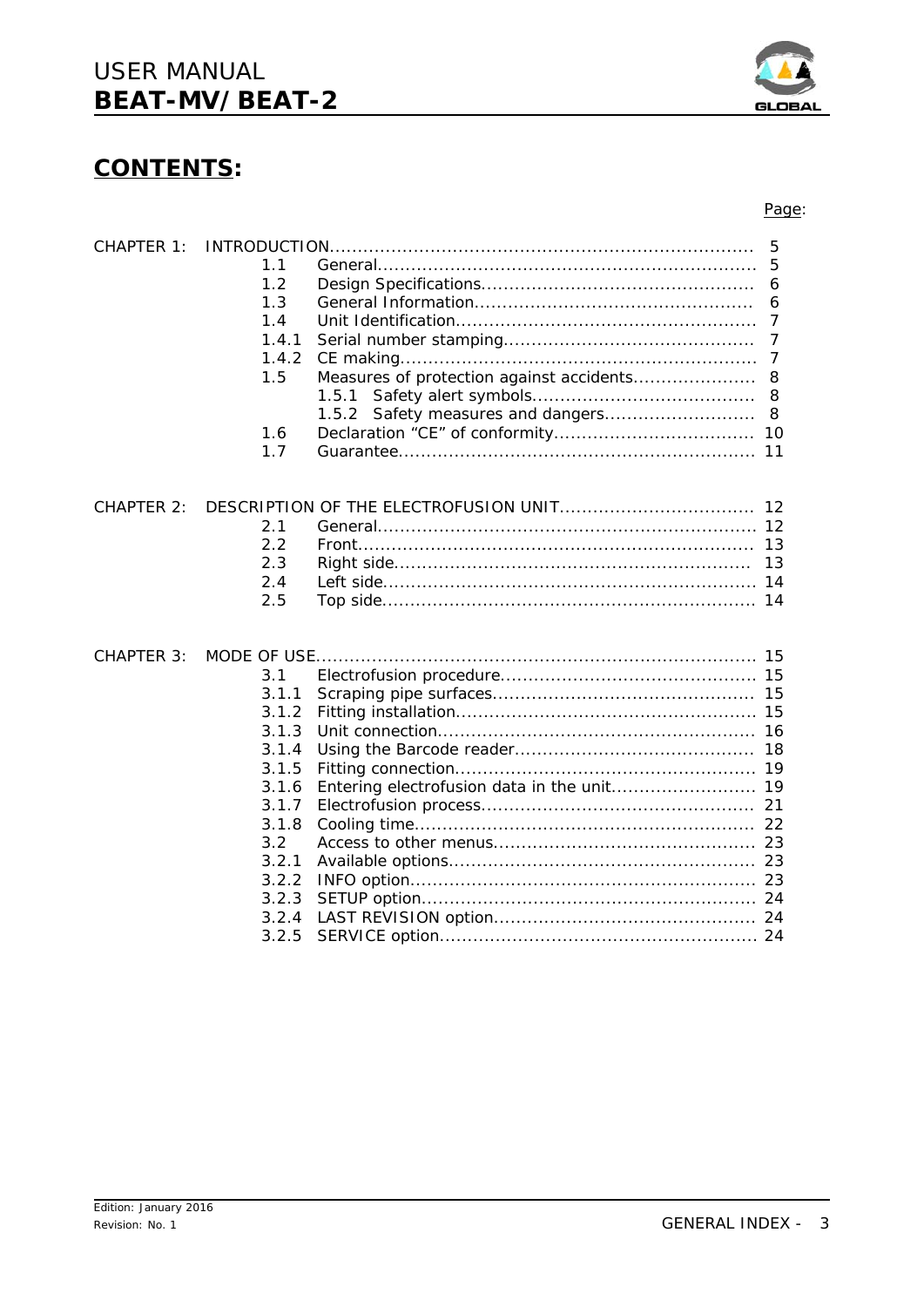$3.2.1$ 

 $3.2.2$ 

 $3.2.3$ 

Edition: January 2016

Revision: No. 1

# **CONTENTS:**





#### Page: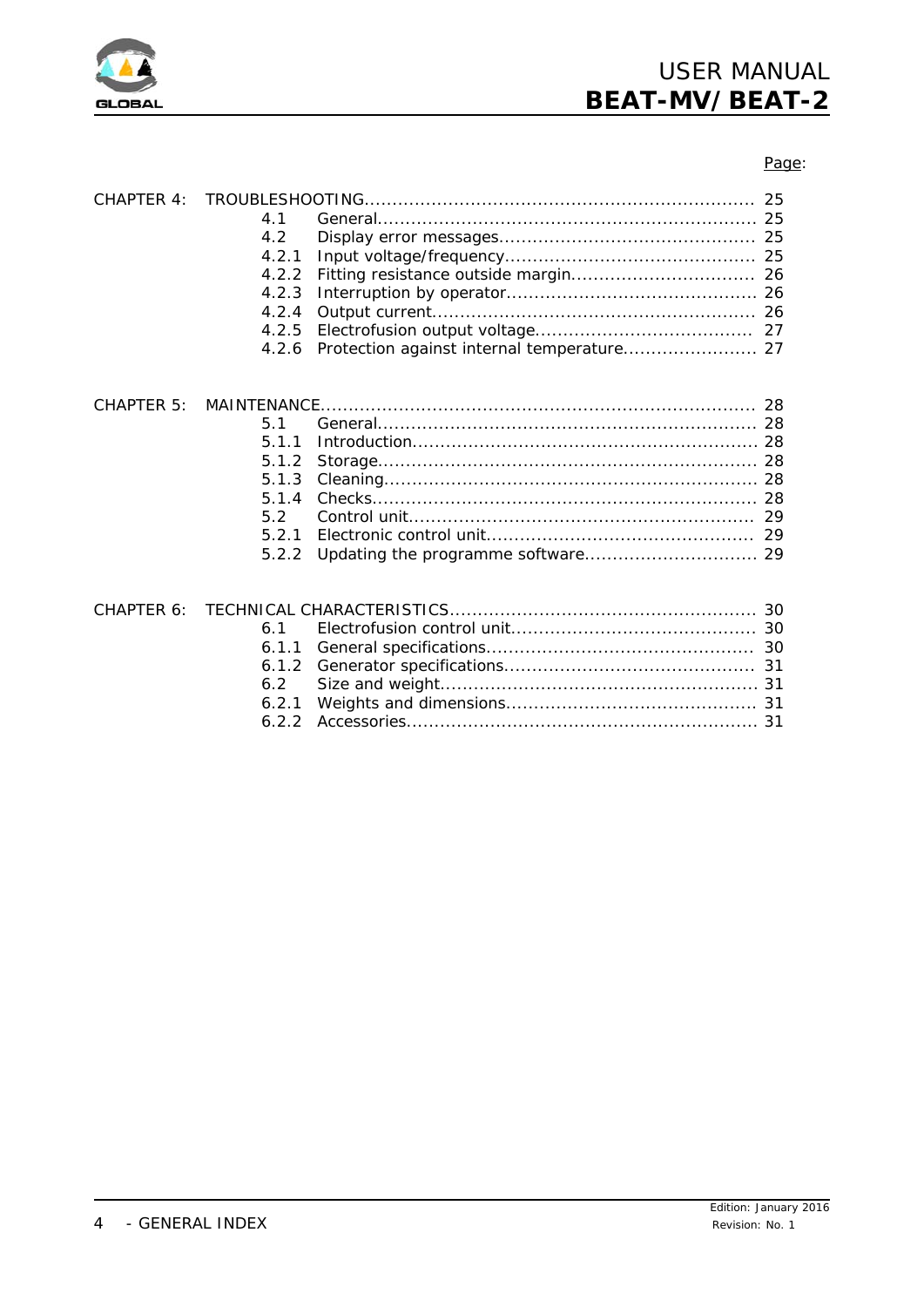

## Page:

| CHAPTER 4: | 4.1<br>4.2<br>4.2.1<br>4.2.2<br>4.2.3<br>4.2.4<br>4.2.5<br>4.2.6 |  |
|------------|------------------------------------------------------------------|--|
| CHAPTER 5: | 5.1<br>5.1.1<br>5.1.2<br>5.1.3<br>5.1.4<br>5.2<br>5.2.1<br>5.2.2 |  |
| CHAPTER 6: | 6.1<br>6.1.1<br>6.1.2<br>6.2<br>6.2.1                            |  |

6.2.2 Accessories............................................................... 31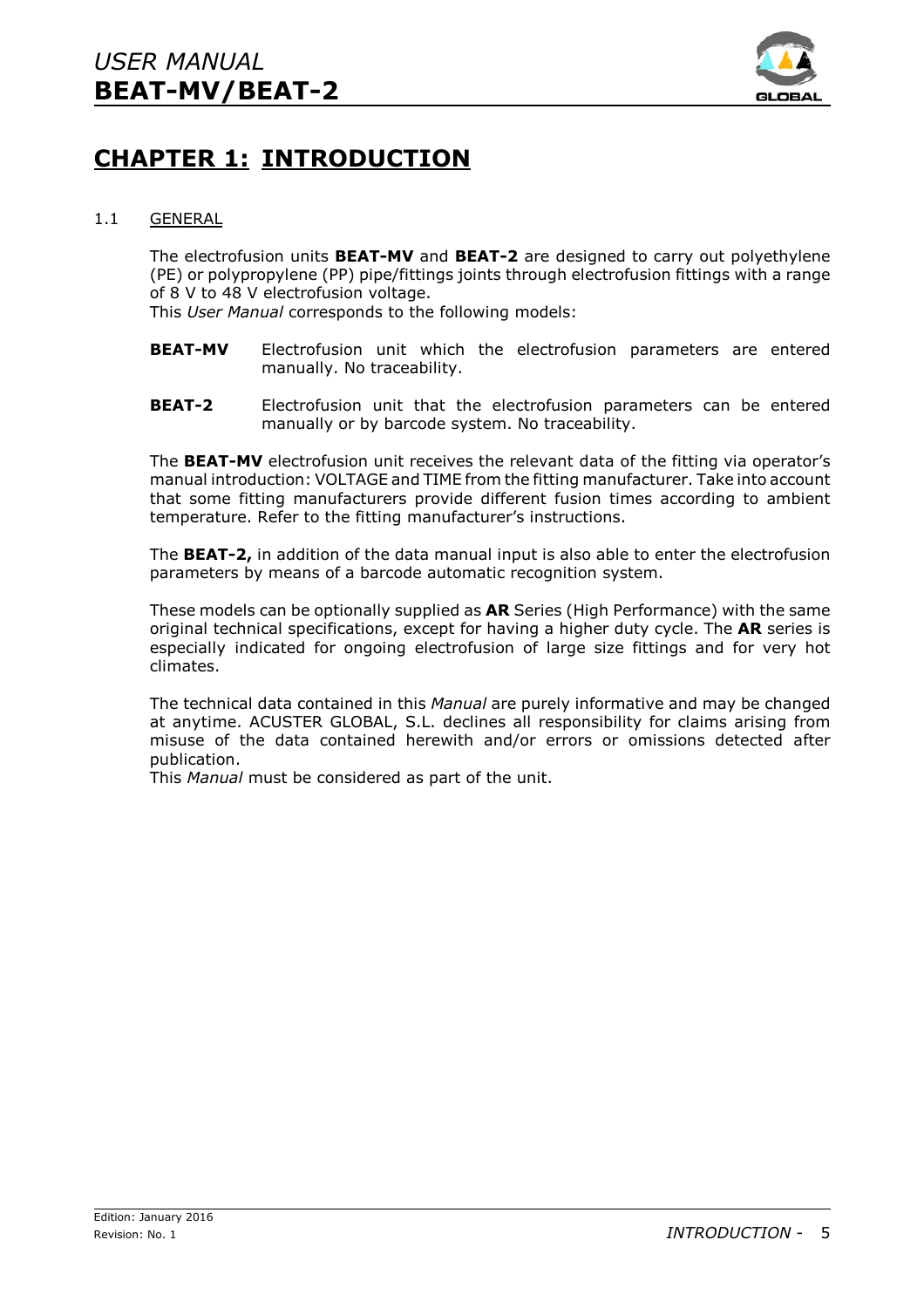

# **CHAPTER 1: INTRODUCTION**

# 1.1 GENERAL

The electrofusion units **BEAT-MV** and **BEAT-2** are designed to carry out polyethylene (PE) or polypropylene (PP) pipe/fittings joints through electrofusion fittings with a range of 8 V to 48 V electrofusion voltage.

This *User Manual* corresponds to the following models:

- **BEAT-MV** Electrofusion unit which the electrofusion parameters are entered manually. No traceability.
- **BEAT-2** Electrofusion unit that the electrofusion parameters can be entered manually or by barcode system. No traceability.

The **BEAT-MV** electrofusion unit receives the relevant data of the fitting via operator's manual introduction: VOLTAGE and TIME from the fitting manufacturer. Take into account that some fitting manufacturers provide different fusion times according to ambient temperature. Refer to the fitting manufacturer's instructions.

The **BEAT-2,** in addition of the data manual input is also able to enter the electrofusion parameters by means of a barcode automatic recognition system.

These models can be optionally supplied as **AR** Series (High Performance) with the same original technical specifications, except for having a higher duty cycle. The **AR** series is especially indicated for ongoing electrofusion of large size fittings and for very hot climates.

The technical data contained in this *Manual* are purely informative and may be changed at anytime. ACUSTER GLOBAL, S.L. declines all responsibility for claims arising from misuse of the data contained herewith and/or errors or omissions detected after publication.

This *Manual* must be considered as part of the unit.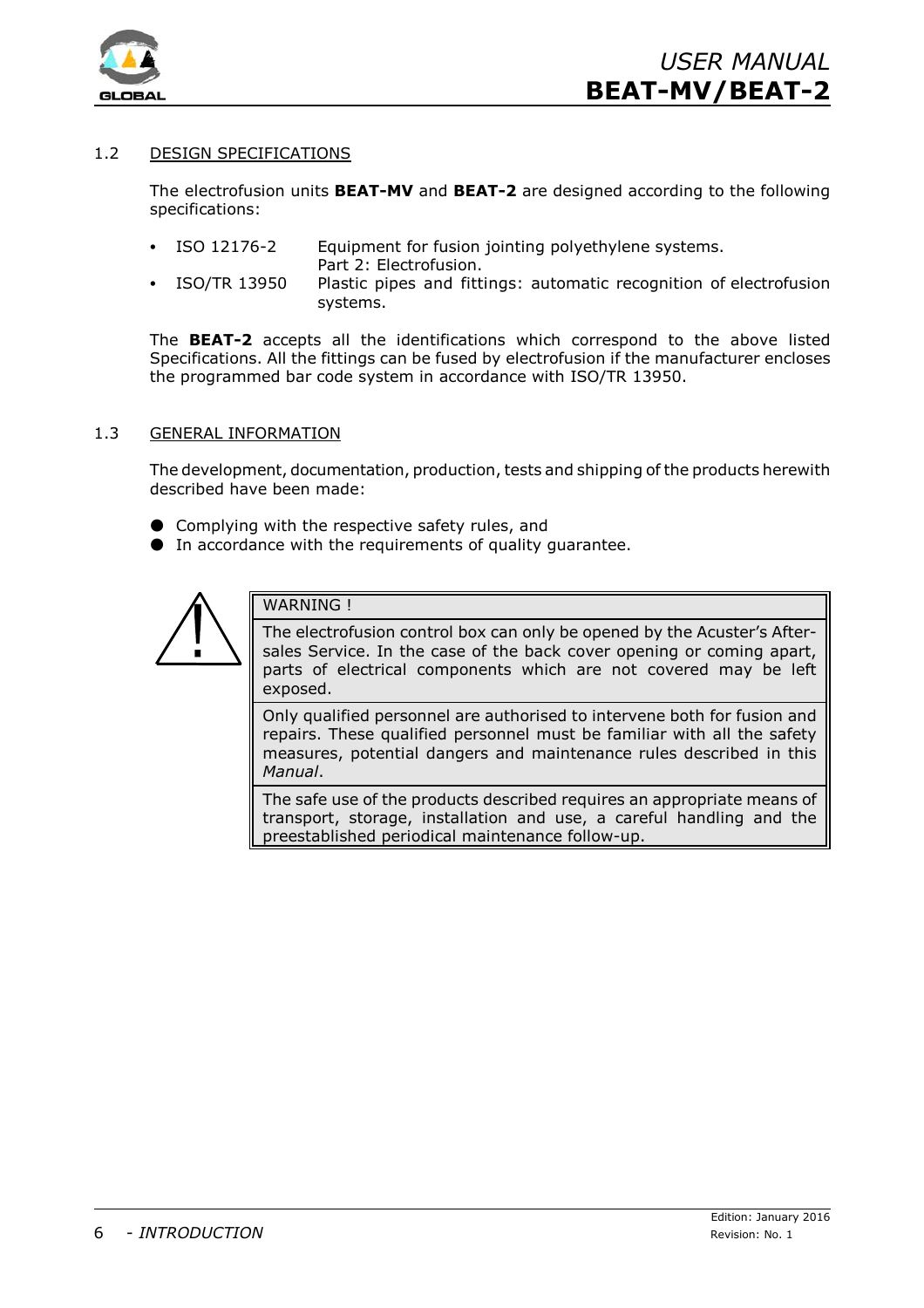

# 1.2 DESIGN SPECIFICATIONS

The electrofusion units **BEAT-MV** and **BEAT-2** are designed according to the following specifications:

- ISO 12176-2 Equipment for fusion jointing polyethylene systems. Part 2: Electrofusion.
- ISO/TR 13950 Plastic pipes and fittings: automatic recognition of electrofusion systems.

The **BEAT-2** accepts all the identifications which correspond to the above listed Specifications. All the fittings can be fused by electrofusion if the manufacturer encloses the programmed bar code system in accordance with ISO/TR 13950.

#### 1.3 GENERAL INFORMATION

The development, documentation, production, tests and shipping of the products herewith described have been made:

- $\bullet$  Complying with the respective safety rules, and
- $\bullet$  In accordance with the requirements of quality quarantee.



WARNING !

The electrofusion control box can only be opened by the Acuster's Aftersales Service. In the case of the back cover opening or coming apart, parts of electrical components which are not covered may be left exposed.

Only qualified personnel are authorised to intervene both for fusion and repairs. These qualified personnel must be familiar with all the safety measures, potential dangers and maintenance rules described in this *Manual*.

The safe use of the products described requires an appropriate means of transport, storage, installation and use, a careful handling and the preestablished periodical maintenance follow-up.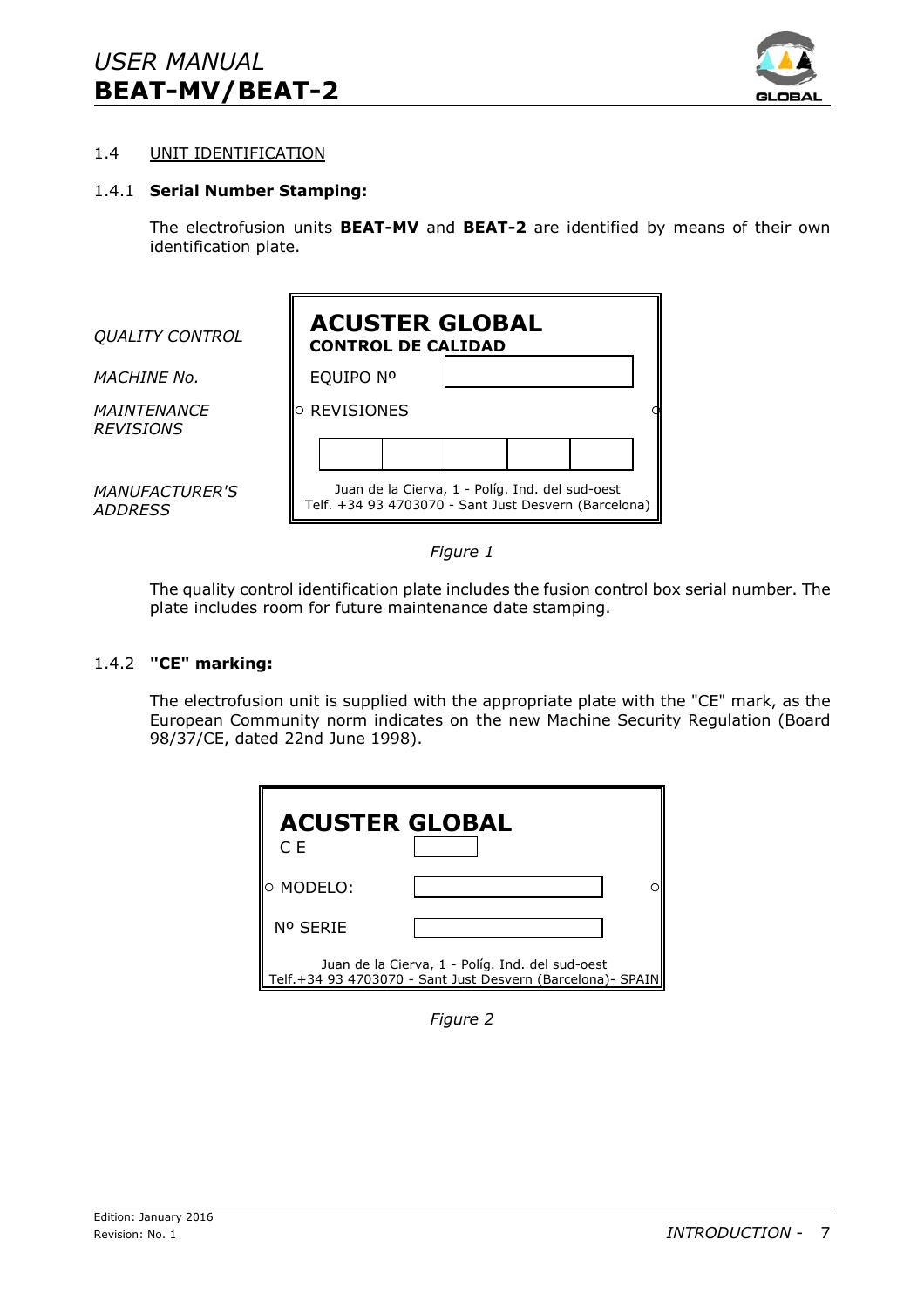

# 1.4 UNIT IDENTIFICATION

# 1.4.1 **Serial Number Stamping:**

The electrofusion units **BEAT-MV** and **BEAT-2** are identified by means of their own identification plate.





The quality control identification plate includes the fusion control box serial number. The plate includes room for future maintenance date stamping.

## 1.4.2 **"CE" marking:**

The electrofusion unit is supplied with the appropriate plate with the "CE" mark, as the European Community norm indicates on the new Machine Security Regulation (Board 98/37/CE, dated 22nd June 1998).

| <b>ACUSTER GLOBAL</b><br>C E |                                                                                                                 |  |
|------------------------------|-----------------------------------------------------------------------------------------------------------------|--|
| <b>O MODELO:</b>             |                                                                                                                 |  |
| Nº SERIE                     |                                                                                                                 |  |
|                              | Juan de la Cierva, 1 - Políg. Ind. del sud-oest<br>Telf. +34 93 4703070 - Sant Just Desvern (Barcelona) - SPAIN |  |

*Figure 2*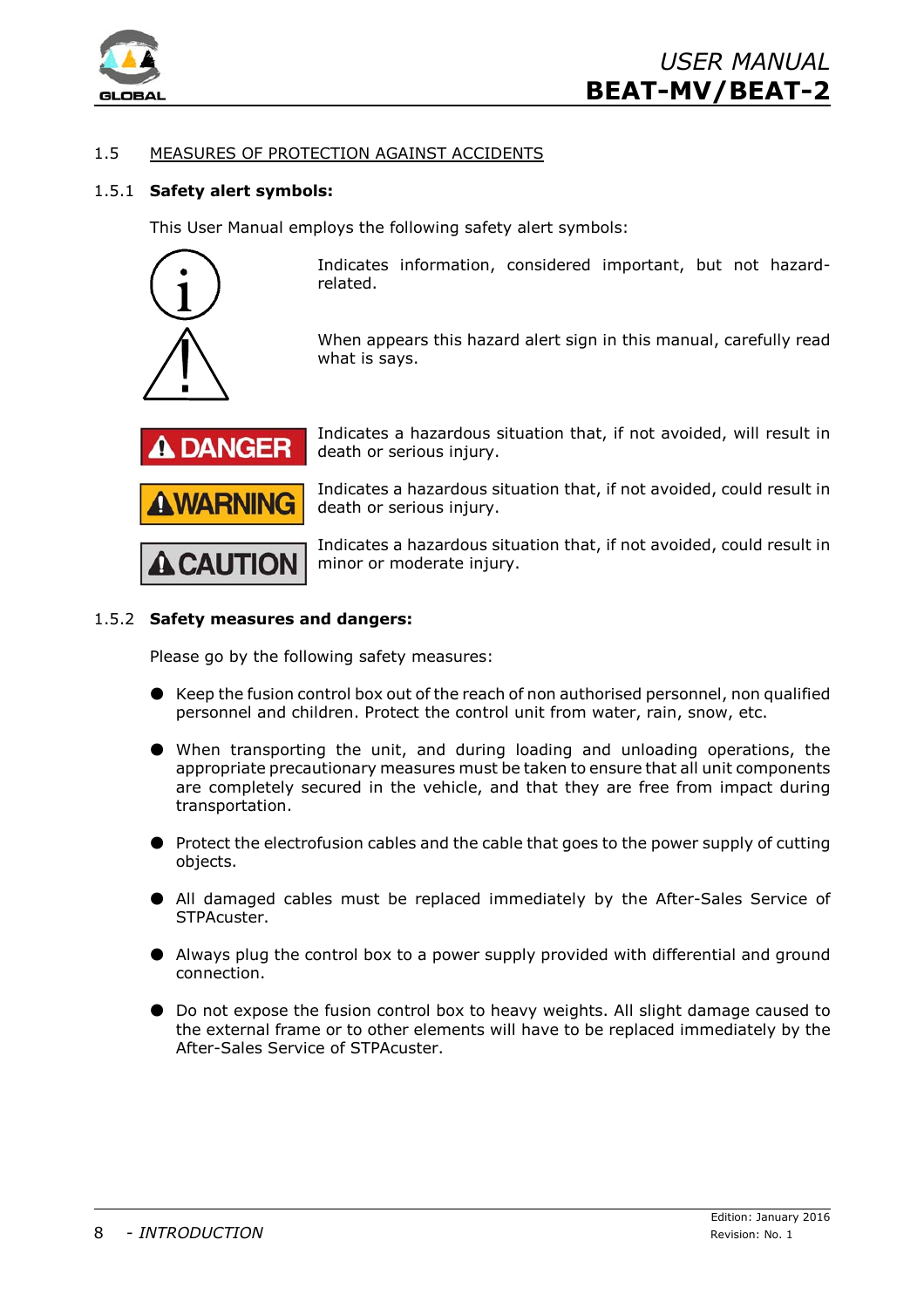

# 1.5 MEASURES OF PROTECTION AGAINST ACCIDENTS

# 1.5.1 **Safety alert symbols:**

This User Manual employs the following safety alert symbols:



Indicates information, considered important, but not hazardrelated.

When appears this hazard alert sign in this manual, carefully read what is says.



Indicates a hazardous situation that, if not avoided, will result in death or serious injury.

Indicates a hazardous situation that, if not avoided, could result in death or serious injury.

Indicates a hazardous situation that, if not avoided, could result in minor or moderate injury.

#### 1.5.2 **Safety measures and dangers:**

Please go by the following safety measures:

- $\bullet$  Keep the fusion control box out of the reach of non authorised personnel, non qualified personnel and children. Protect the control unit from water, rain, snow, etc.
- M When transporting the unit, and during loading and unloading operations, the appropriate precautionary measures must be taken to ensure that all unit components are completely secured in the vehicle, and that they are free from impact during transportation.
- **O** Protect the electrofusion cables and the cable that goes to the power supply of cutting objects.
- M All damaged cables must be replaced immediately by the After-Sales Service of STPAcuster.
- M Always plug the control box to a power supply provided with differential and ground connection.
- $\bullet$  Do not expose the fusion control box to heavy weights. All slight damage caused to the external frame or to other elements will have to be replaced immediately by the After-Sales Service of STPAcuster.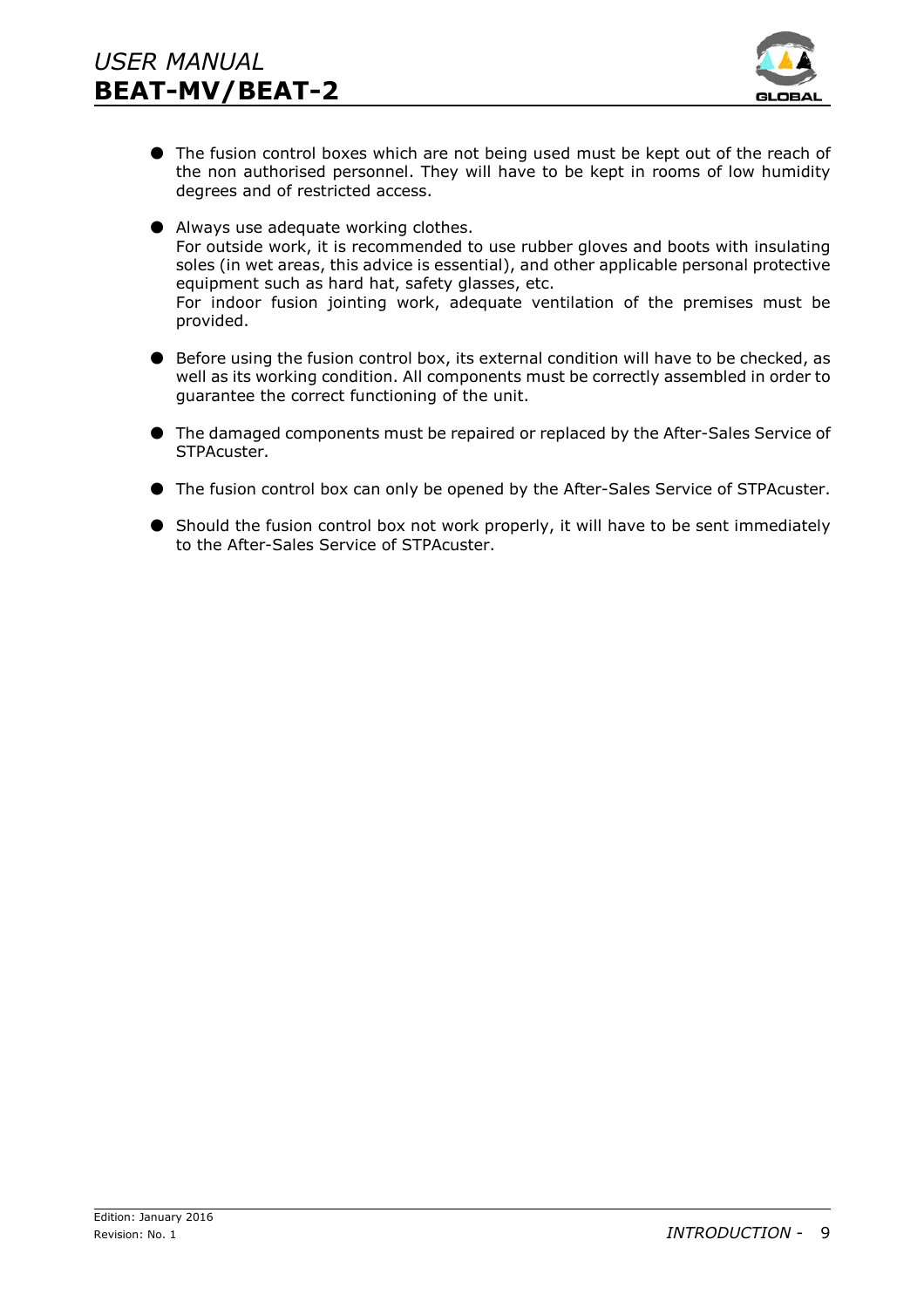

 $\bullet$  The fusion control boxes which are not being used must be kept out of the reach of the non authorised personnel. They will have to be kept in rooms of low humidity degrees and of restricted access.

 $\bullet$  Always use adequate working clothes. For outside work, it is recommended to use rubber gloves and boots with insulating soles (in wet areas, this advice is essential), and other applicable personal protective equipment such as hard hat, safety glasses, etc. For indoor fusion jointing work, adequate ventilation of the premises must be provided.

- M Before using the fusion control box, its external condition will have to be checked, as well as its working condition. All components must be correctly assembled in order to guarantee the correct functioning of the unit.
- $\bullet$  The damaged components must be repaired or replaced by the After-Sales Service of STPAcuster.
- $\bullet$  The fusion control box can only be opened by the After-Sales Service of STPAcuster.
- M Should the fusion control box not work properly, it will have to be sent immediately to the After-Sales Service of STPAcuster.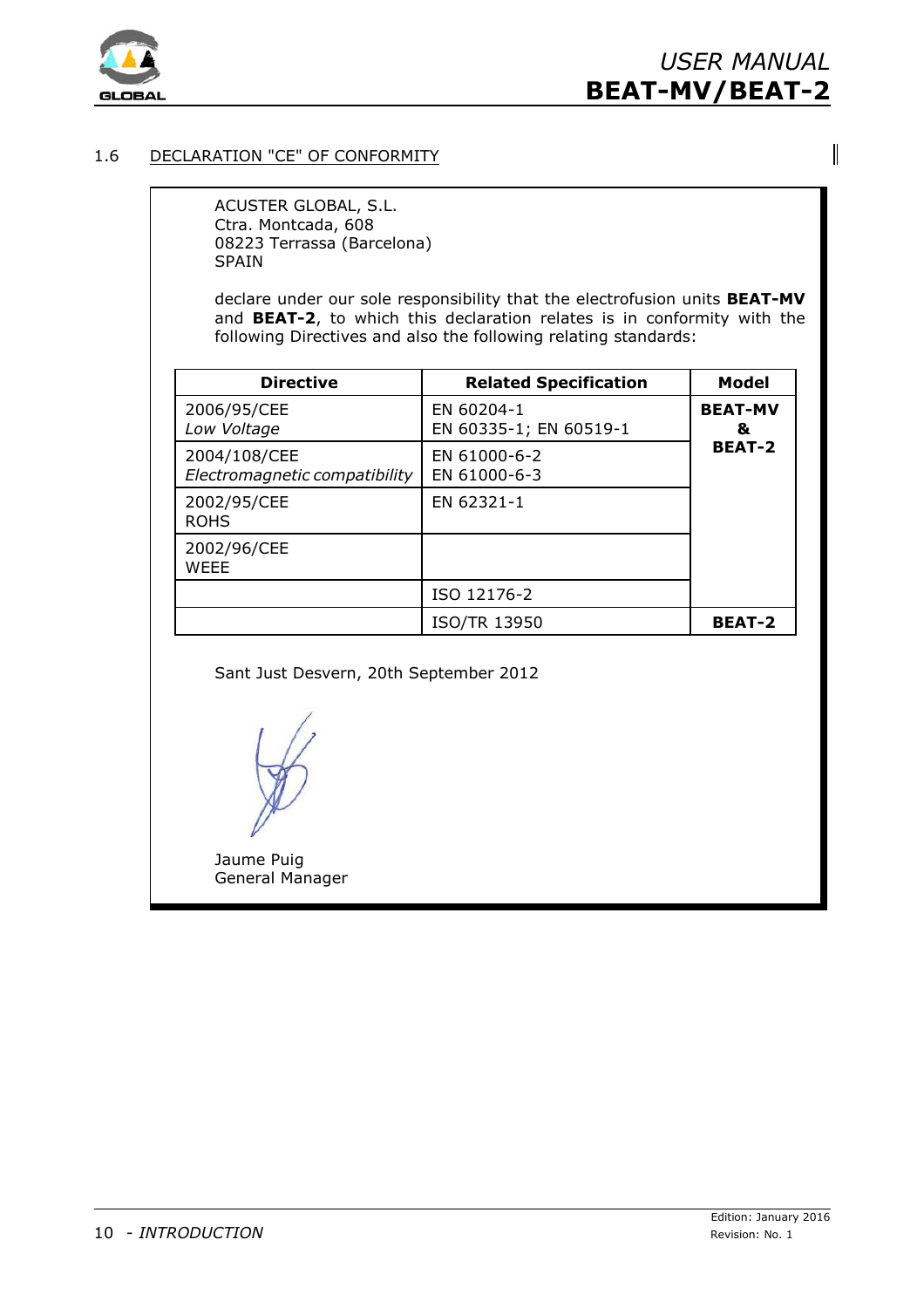

 $\overline{\phantom{a}}$ 

# 1.6 DECLARATION "CE" OF CONFORMITY

ACUSTER GLOBAL, S.L. Ctra. Montcada, 608 08223 Terrassa (Barcelona) SPAIN

declare under our sole responsibility that the electrofusion units **BEAT-MV** and **BEAT-2**, to which this declaration relates is in conformity with the following Directives and also the following relating standards:

| <b>Directive</b>                              | <b>Related Specification</b>         | <b>Model</b>        |
|-----------------------------------------------|--------------------------------------|---------------------|
| 2006/95/CEE<br>Low Voltage                    | EN 60204-1<br>EN 60335-1; EN 60519-1 | <b>BEAT-MV</b><br>& |
| 2004/108/CEE<br>Electromagnetic compatibility | EN 61000-6-2<br>EN 61000-6-3         | <b>BEAT-2</b>       |
| 2002/95/CEE<br><b>ROHS</b>                    | EN 62321-1                           |                     |
| 2002/96/CEE<br><b>WEEE</b>                    |                                      |                     |
|                                               | ISO 12176-2                          |                     |
|                                               | <b>ISO/TR 13950</b>                  | <b>BEAT-2</b>       |

Sant Just Desvern, 20th September 2012

Jaume Puig General Manager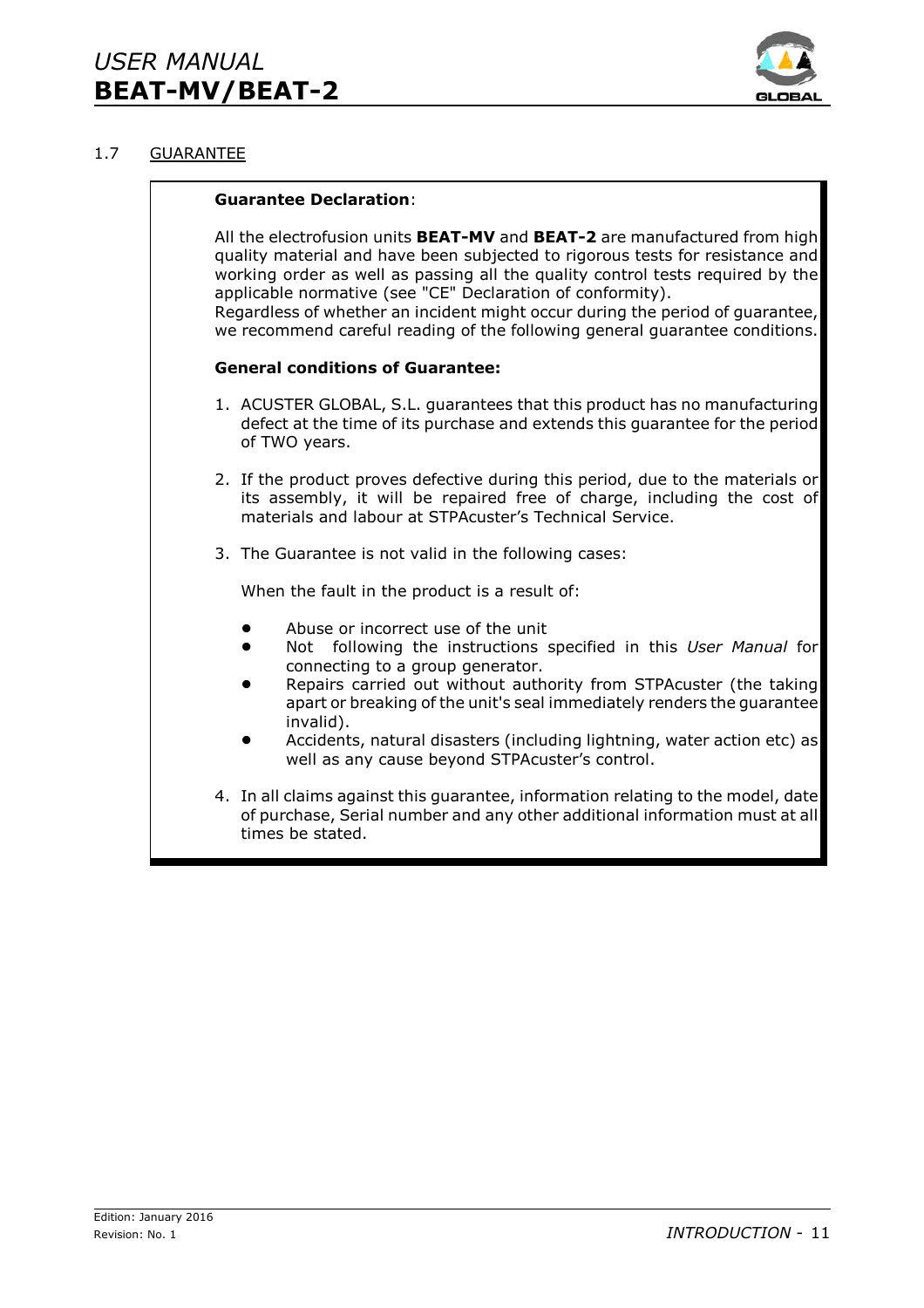

Ŧ

# 1.7 GUARANTEE

|  | <b>Guarantee Declaration:</b>                                                                                                                                                                                                                                                                                                                                                                                                                                                            |
|--|------------------------------------------------------------------------------------------------------------------------------------------------------------------------------------------------------------------------------------------------------------------------------------------------------------------------------------------------------------------------------------------------------------------------------------------------------------------------------------------|
|  | All the electrofusion units <b>BEAT-MV</b> and <b>BEAT-2</b> are manufactured from high<br>quality material and have been subjected to rigorous tests for resistance and<br>working order as well as passing all the quality control tests required by the<br>applicable normative (see "CE" Declaration of conformity).<br>Regardless of whether an incident might occur during the period of guarantee,<br>we recommend careful reading of the following general guarantee conditions. |
|  | <b>General conditions of Guarantee:</b>                                                                                                                                                                                                                                                                                                                                                                                                                                                  |
|  | 1. ACUSTER GLOBAL, S.L. guarantees that this product has no manufacturing<br>defect at the time of its purchase and extends this guarantee for the period<br>of TWO years.                                                                                                                                                                                                                                                                                                               |
|  | 2. If the product proves defective during this period, due to the materials or<br>its assembly, it will be repaired free of charge, including the cost of<br>materials and labour at STPAcuster's Technical Service.                                                                                                                                                                                                                                                                     |
|  | 3. The Guarantee is not valid in the following cases:                                                                                                                                                                                                                                                                                                                                                                                                                                    |
|  | When the fault in the product is a result of:                                                                                                                                                                                                                                                                                                                                                                                                                                            |
|  | Abuse or incorrect use of the unit<br>Not following the instructions specified in this User Manual for<br>connecting to a group generator.<br>Repairs carried out without authority from STPAcuster (the taking<br>apart or breaking of the unit's seal immediately renders the guarantee<br>invalid).<br>Accidents, natural disasters (including lightning, water action etc) as<br>well as any cause beyond STPAcuster's control.                                                      |
|  | 4. In all claims against this guarantee, information relating to the model, date<br>of purchase, Serial number and any other additional information must at all<br>times be stated.                                                                                                                                                                                                                                                                                                      |
|  |                                                                                                                                                                                                                                                                                                                                                                                                                                                                                          |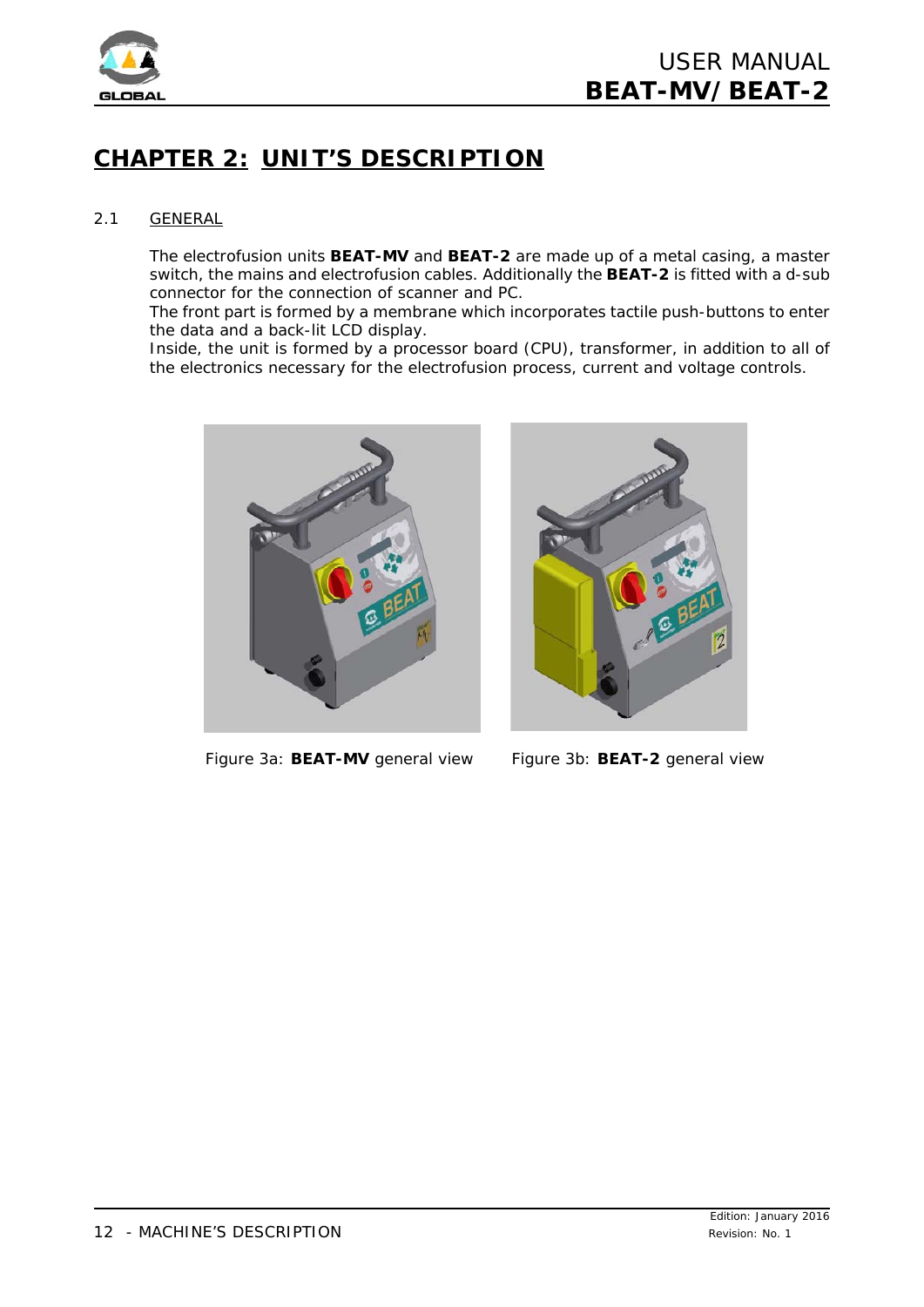

# **CHAPTER 2: UNIT'S DESCRIPTION**

# 2.1 GENERAL

The electrofusion units **BEAT-MV** and **BEAT-2** are made up of a metal casing, a master switch, the mains and electrofusion cables. Additionally the **BEAT-2** is fitted with a d-sub connector for the connection of scanner and PC.

The front part is formed by a membrane which incorporates tactile push-buttons to enter the data and a back-lit LCD display.

Inside, the unit is formed by a processor board (CPU), transformer, in addition to all of the electronics necessary for the electrofusion process, current and voltage controls.



*Figure 3a: BEAT-MV general view Figure 3b: BEAT-2 general view*

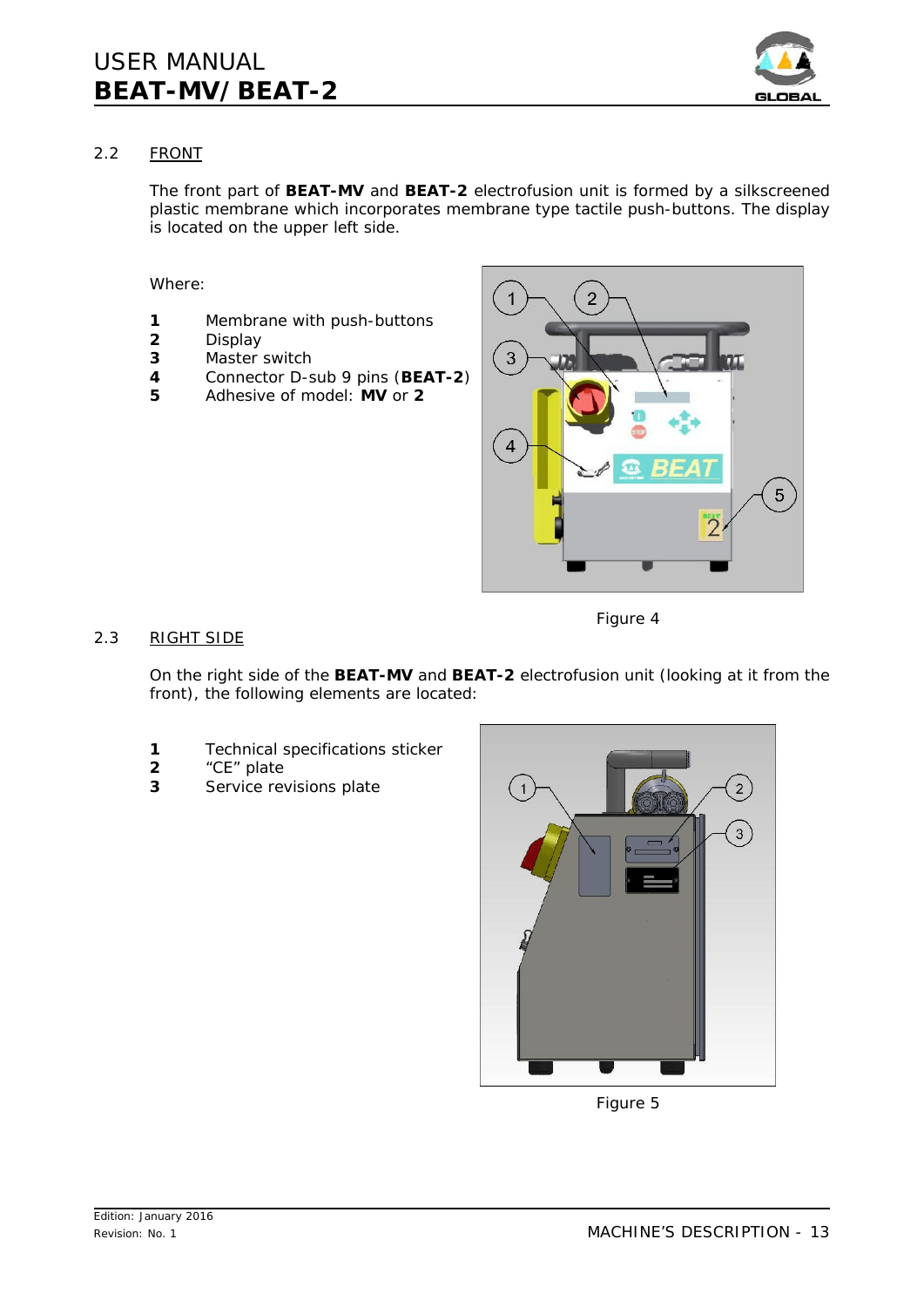

# 2.2 FRONT

The front part of **BEAT-MV** and **BEAT-2** electrofusion unit is formed by a silkscreened plastic membrane which incorporates membrane type tactile push-buttons. The display is located on the upper left side.

## Where:

- **1** Membrane with push-buttons
- **2** Display
- **3** Master switch
- **4** Connector D-sub 9 pins (**BEAT-2**)
- **5** Adhesive of model: **MV** or **2**



# 2.3 RIGHT SIDE

*Figure 4*

On the right side of the **BEAT-MV** and **BEAT-2** electrofusion unit (looking at it from the front), the following elements are located:

- **1** Technical specifications sticker
- **2** "CE" plate
- **3** Service revisions plate



*Figure 5*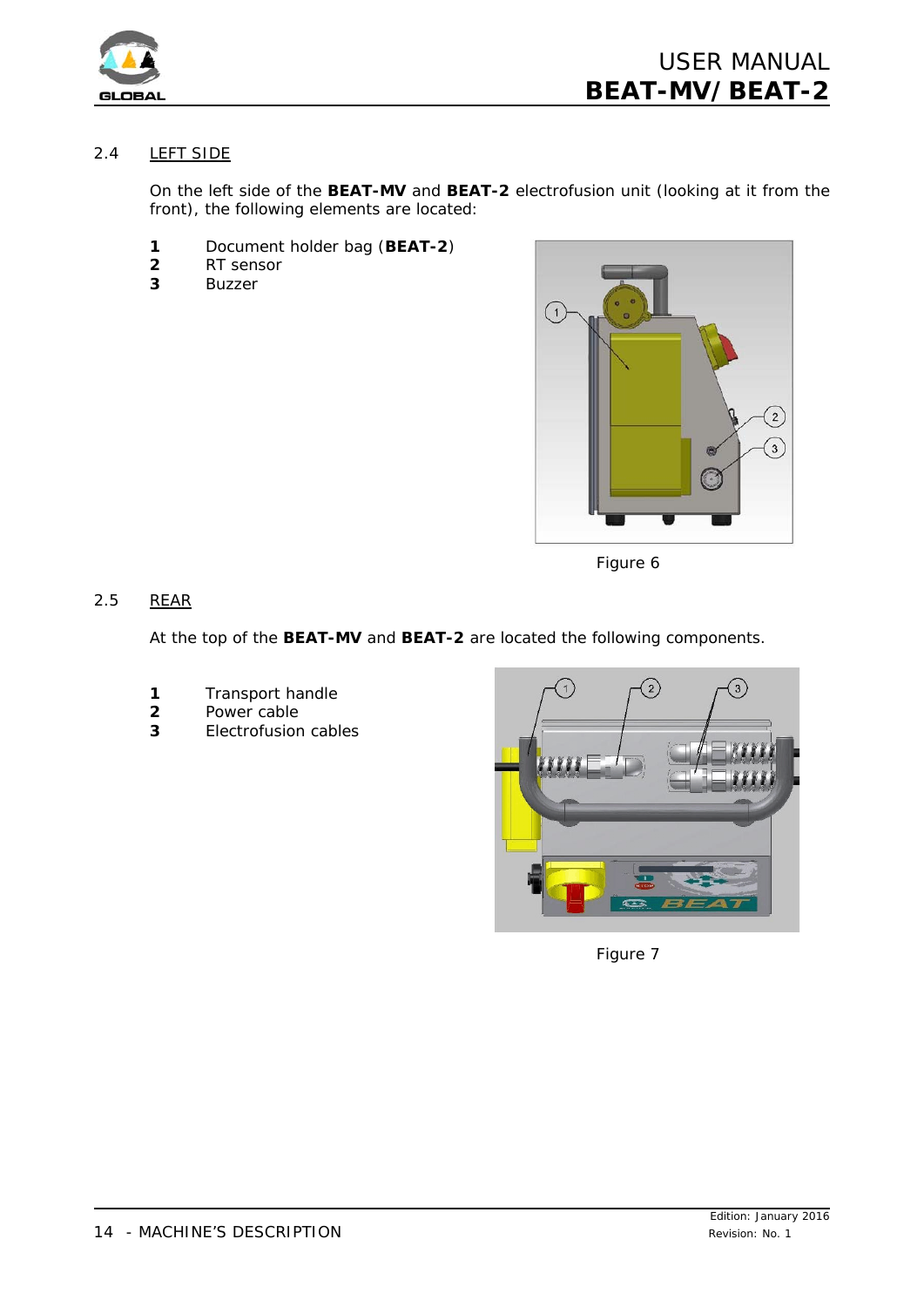

# 2.4 LEFT SIDE

On the left side of the **BEAT-MV** and **BEAT-2** electrofusion unit (looking at it from the front), the following elements are located:

- **1** Document holder bag (**BEAT-2**)
- **2** RT sensor
- **3** Buzzer



*Figure 6*

# 2.5 REAR

At the top of the **BEAT-MV** and **BEAT-2** are located the following components.

- **1** Transport handle
- **2** Power cable
- **3** Electrofusion cables



*Figure 7*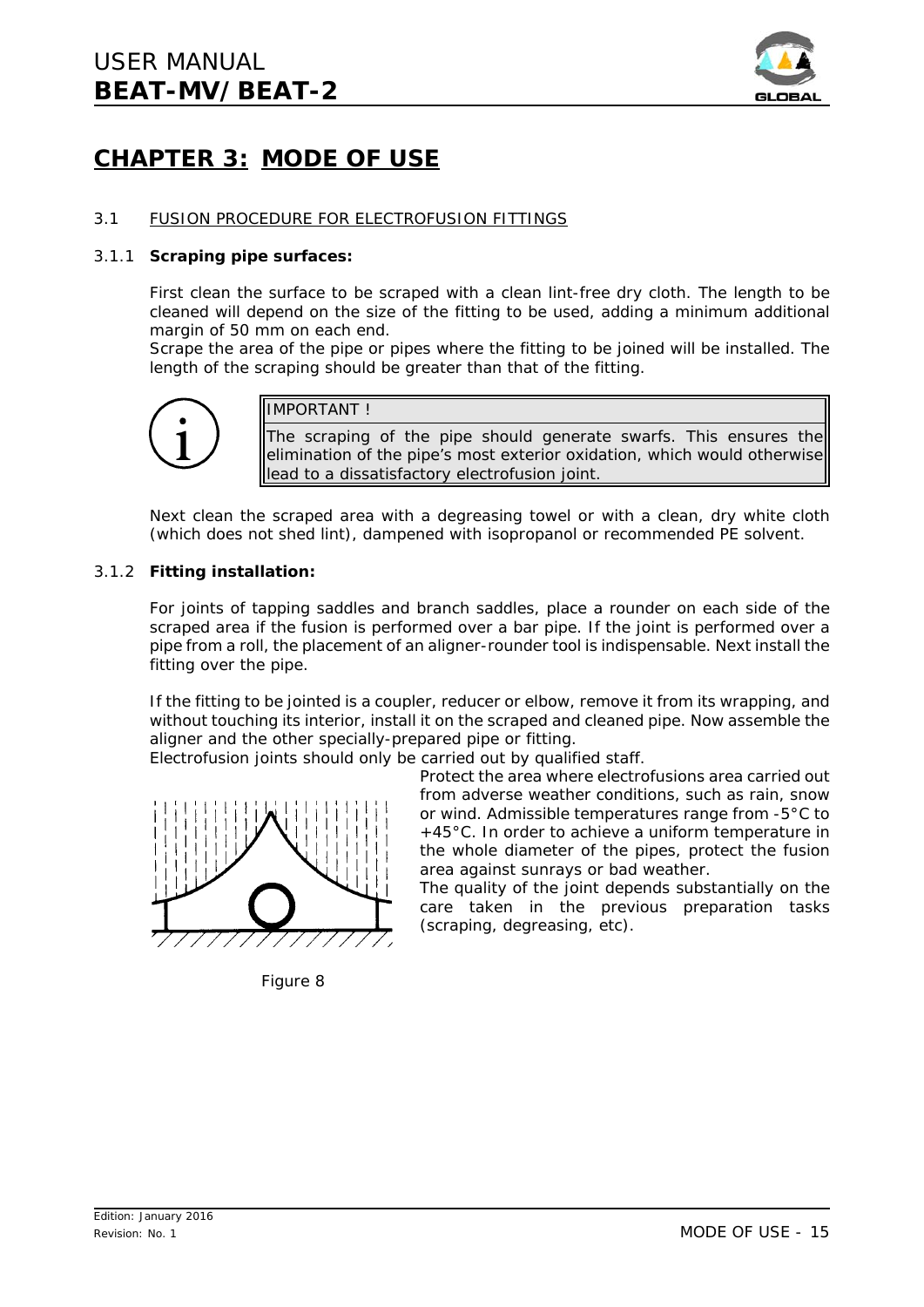

# **CHAPTER 3: MODE OF USE**

# 3.1 FUSION PROCEDURE FOR ELECTROFUSION FITTINGS

#### 3.1.1 **Scraping pipe surfaces:**

First clean the surface to be scraped with a clean lint-free dry cloth. The length to be cleaned will depend on the size of the fitting to be used, adding a minimum additional margin of 50 mm on each end.

Scrape the area of the pipe or pipes where the fitting to be joined will be installed. The length of the scraping should be greater than that of the fitting.



IMPORTANT !

The scraping of the pipe should generate swarfs. This ensures the elimination of the pipe's most exterior oxidation, which would otherwise lead to a dissatisfactory electrofusion joint.

Next clean the scraped area with a degreasing towel or with a clean, dry white cloth (which does not shed lint), dampened with isopropanol or recommended PE solvent.

#### 3.1.2 **Fitting installation:**

For joints of *tapping saddles* and *branch saddles*, place a rounder on each side of the scraped area if the fusion is performed over a bar pipe. If the joint is performed over a pipe from a roll, the placement of an aligner-rounder tool is indispensable. Next install the fitting over the pipe.

If the fitting to be jointed is a *coupler*, *reducer* or *elbow*, remove it from its wrapping, and without touching its interior, install it on the scraped and cleaned pipe. Now assemble the aligner and the other specially-prepared pipe or fitting.

Electrofusion joints should only be carried out by qualified staff.



*Figure 8*

Protect the area where electrofusions area carried out from adverse weather conditions, such as rain, snow or wind. Admissible temperatures range from -5°C to +45°C. In order to achieve a uniform temperature in the whole diameter of the pipes, protect the fusion area against sunrays or bad weather.

The quality of the joint depends substantially on the care taken in the previous preparation tasks (scraping, degreasing, etc).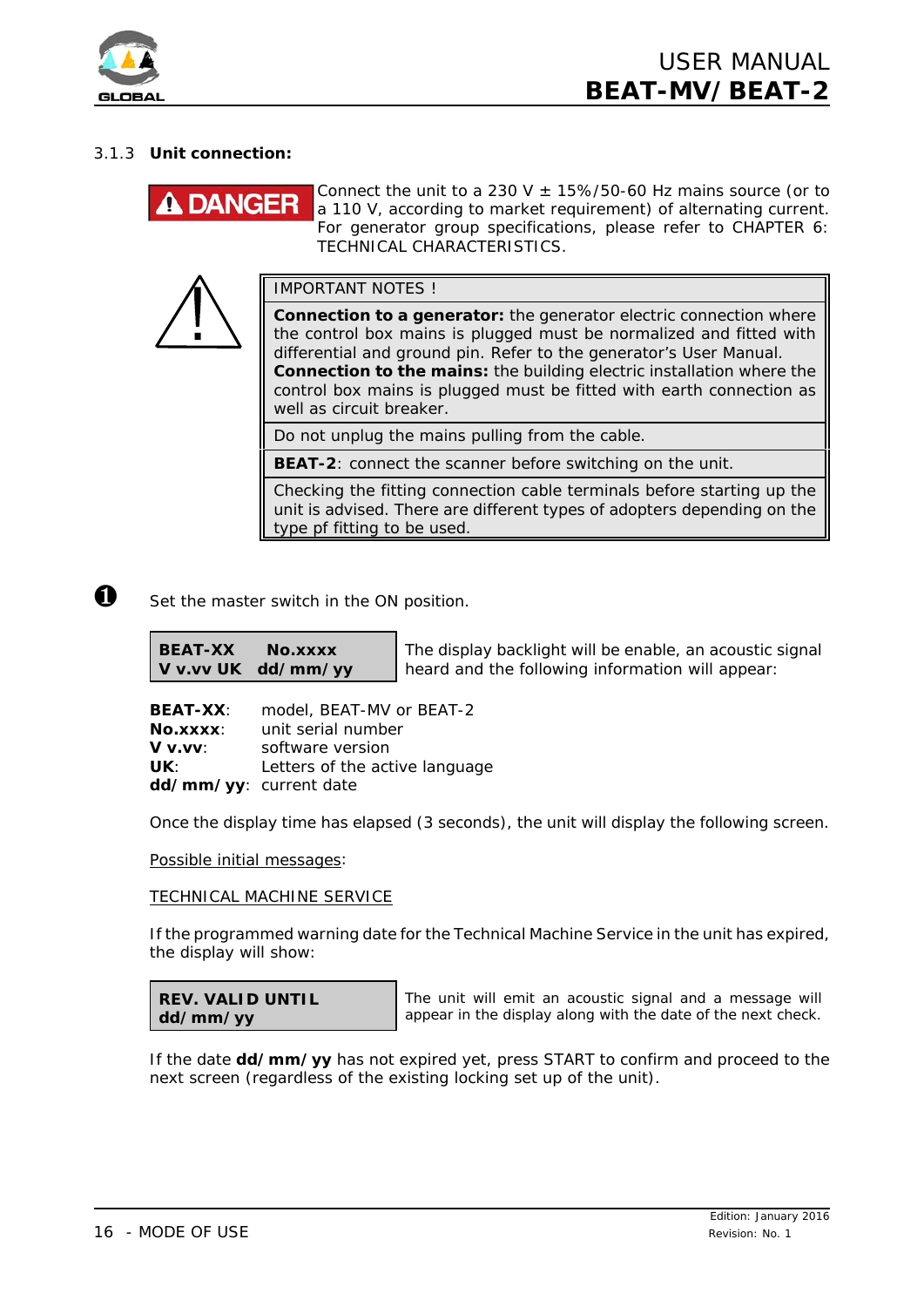

# 3.1.3 **Unit connection:**

# **DANGER**

Connect the unit to a 230 V  $\pm$  15%/50-60 Hz mains source (or to a 110 V, according to market requirement) of alternating current. For generator group specifications, please refer to *CHAPTER 6: TECHNICAL CHARACTERISTICS*.

IMPORTANT NOTES !

**Connection to a generator:** the generator electric connection where the control box mains is plugged must be normalized and fitted with differential and ground pin. Refer to the generator's User Manual. **Connection to the mains:** the building electric installation where the control box mains is plugged must be fitted with earth connection as well as circuit breaker.

Do not unplug the mains pulling from the cable.

**BEAT-2**: connect the scanner before switching on the unit.

Checking the fitting connection cable terminals before starting up the unit is advised. There are different types of adopters depending on the type pf fitting to be used.

 $\bullet$  Set the master switch in the ON position.

**BEAT-XX No.xxxx V v.vv UK dd/mm/yy**

The display backlight will be enable, an acoustic signal heard and the following information will appear:

**BEAT-XX**: model, BEAT-MV or BEAT-2 **No.xxxx**: unit serial number **V v.vv**: software version UK: Letters of the active language **dd/mm/yy**: current date

Once the display time has elapsed (3 seconds), the unit will display the following screen.

*Possible initial messages:*

#### TECHNICAL MACHINE SERVICE

If the programmed warning date for the Technical Machine Service in the unit has expired, the display will show:

| <b>REV. VALID UNTIL</b> |  |  |
|-------------------------|--|--|
| dd/mm/yy                |  |  |

The unit will emit an acoustic signal and a message will appear in the display along with the date of the next check.

If the date **dd/mm/yy** has not expired yet, press START to confirm and proceed to the next screen (regardless of the existing locking set up of the unit).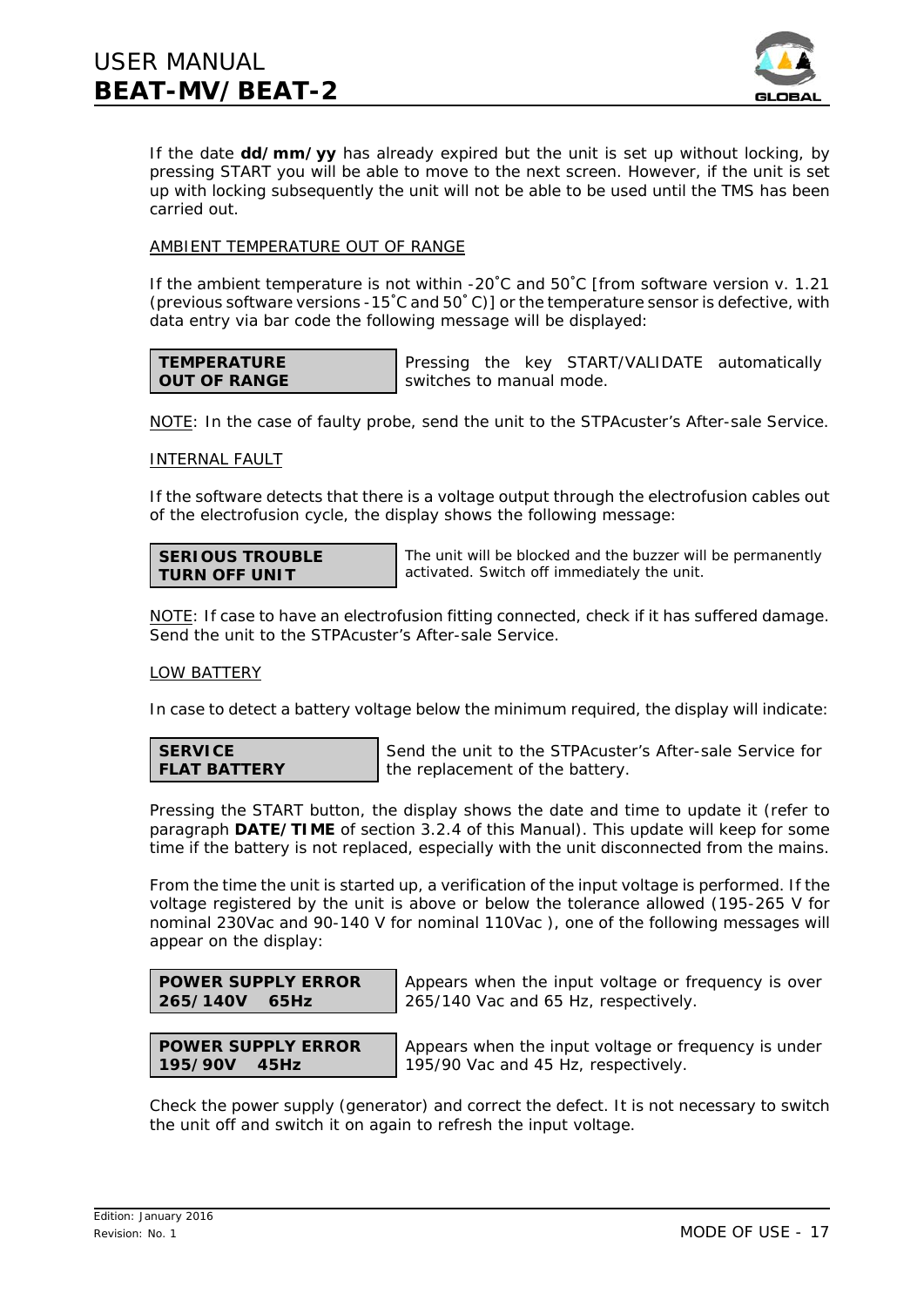

If the date **dd/mm/yy** has already expired but the unit is set up without locking, by pressing START you will be able to move to the next screen. However, if the unit is set up with locking subsequently the unit will not be able to be used until the TMS has been carried out.

# AMBIENT TEMPERATURE OUT OF RANGE

If the ambient temperature is not within -20 $^{\circ}$ C and 50 $^{\circ}$ C [from software version v. 1.21 (previous software versions -15°C and  $50°$ C)] or the temperature sensor is defective, with data entry via bar code the following message will be displayed:

#### **TEMPERATURE OUT OF RANGE**

Pressing the key START/VALIDATE automatically switches to manual mode.

NOTE: In the case of faulty probe, send the unit to the STPAcuster's After-sale Service.

#### INTERNAL FAULT

If the software detects that there is a voltage output through the electrofusion cables out of the electrofusion cycle, the display shows the following message:

#### **SERIOUS TROUBLE TURN OFF UNIT**

The unit will be blocked and the buzzer will be permanently activated. Switch off immediately the unit.

NOTE: If case to have an electrofusion fitting connected, check if it has suffered damage. Send the unit to the STPAcuster's After-sale Service.

#### LOW BATTERY

In case to detect a battery voltage below the minimum required, the display will indicate:

**SERVICE FLAT BATTERY**

Send the unit to the STPAcuster's After-sale Service for the replacement of the battery.

Pressing the START button, the display shows the date and time to update it (refer to paragraph **DATE/TIME** of section 3.2.4 of this *Manual*). This update will keep for some time if the battery is not replaced, especially with the unit disconnected from the mains.

From the time the unit is started up, a verification of the input voltage is performed. If the voltage registered by the unit is above or below the tolerance allowed (195-265 V for nominal 230Vac and 90-140 V for nominal 110Vac ), one of the following messages will appear on the display:

| <b>POWER SUPPLY ERROR</b> |  |
|---------------------------|--|
| 265/140V 65Hz             |  |

Appears when the input voltage or frequency is over 265/140 Vac and 65 Hz, respectively.

#### **POWER SUPPLY ERROR 195/90V 45Hz**

Appears when the input voltage or frequency is under 195/90 Vac and 45 Hz, respectively.

Check the power supply (generator) and correct the defect. It is not necessary to switch the unit off and switch it on again to refresh the input voltage.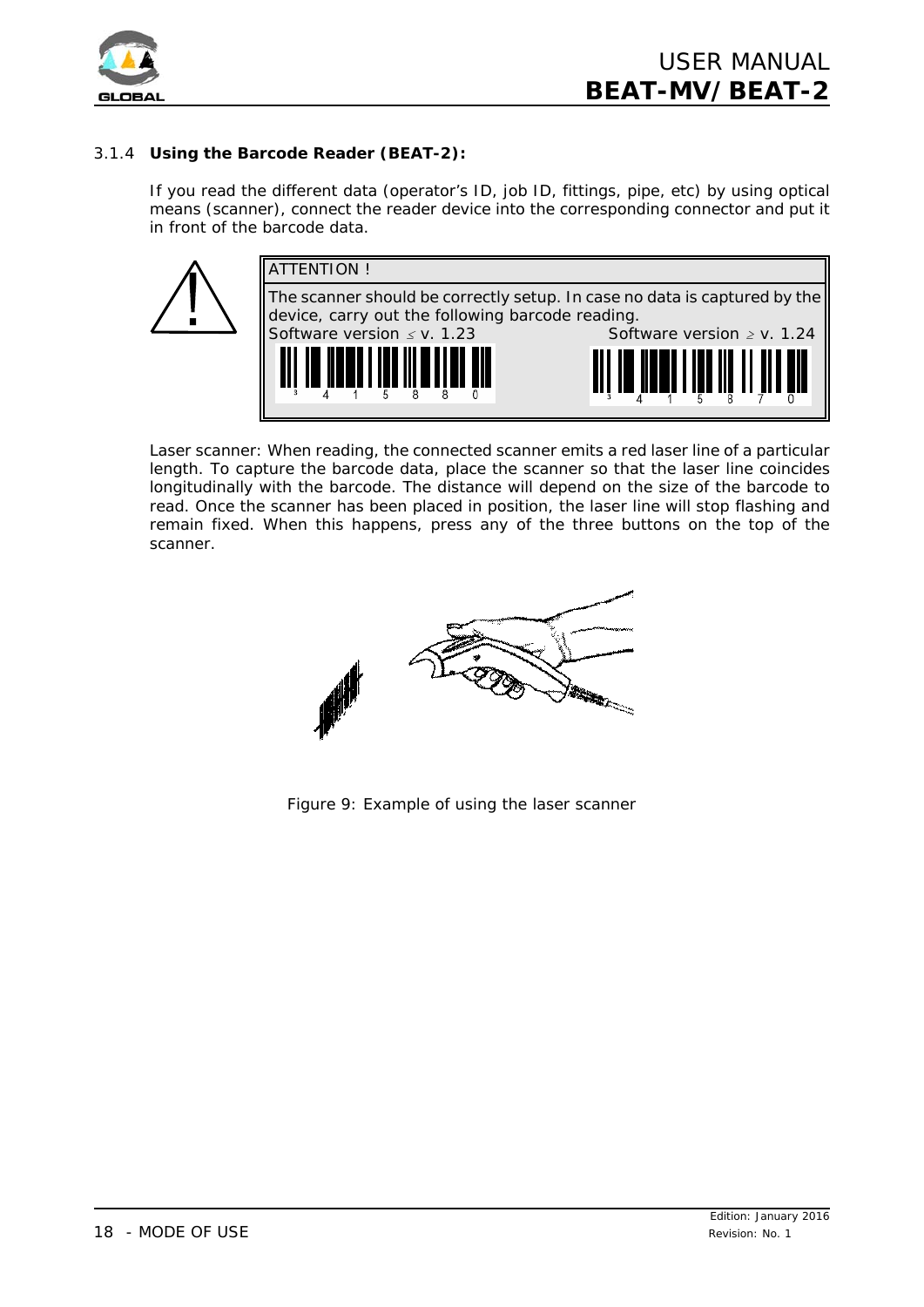

# 3.1.4 **Using the Barcode Reader (BEAT-2):**

If you read the different data (operator's ID, job ID, fittings, pipe, etc) by using optical means (scanner), connect the reader device into the corresponding connector and put it in front of the barcode data.



*Laser scanner:* When reading, the connected scanner emits a red laser line of a particular length. To capture the barcode data, place the scanner so that the laser line coincides longitudinally with the barcode. The distance will depend on the size of the barcode to read. Once the scanner has been placed in position, the laser line will stop flashing and remain fixed. When this happens, press any of the three buttons on the top of the scanner.



*Figure 9: Example of using the laser scanner*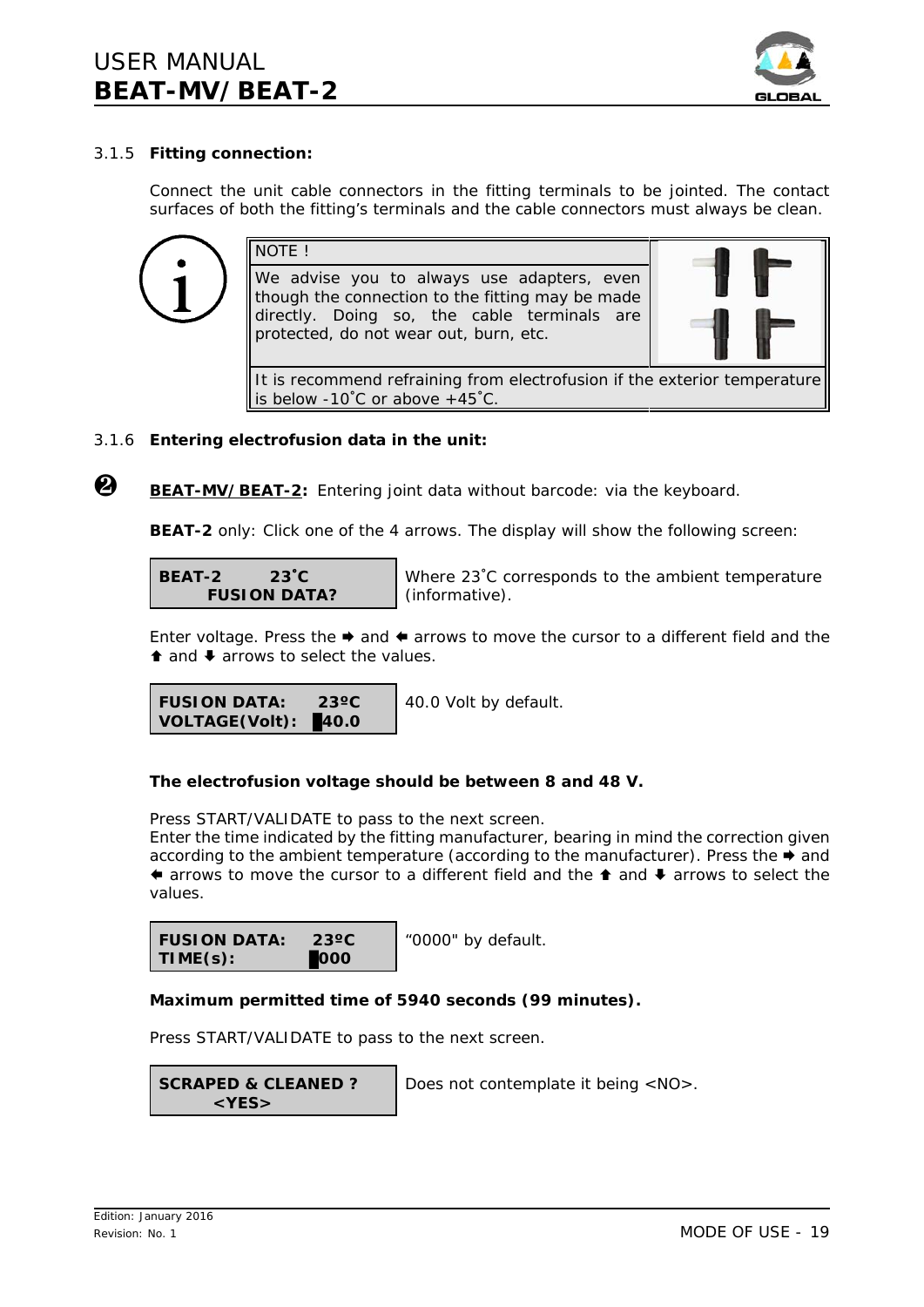

# 3.1.5 **Fitting connection:**

Connect the unit cable connectors in the fitting terminals to be jointed. The contact surfaces of both the fitting's terminals and the cable connectors must always be clean.



# 3.1.6 **Entering electrofusion data in the unit:**

Ù **BEAT-MV/BEAT-2:** *Entering joint data without barcode: via the keyboard.*

**BEAT-2** only: Click one of the 4 arrows. The display will show the following screen:

**BEAT-2 23**/**C FUSION DATA?**

Where 23<sup>°</sup>C corresponds to the ambient temperature (informative).

Enter voltage. Press the  $\rightarrow$  and  $\leftarrow$  arrows to move the cursor to a different field and the  $\uparrow$  and  $\downarrow$  arrows to select the values.

```
FUSION DATA: 23ºC
VOLTAGE(Volt): 40.0
                         40.0 Volt by default.
```
#### **The electrofusion voltage should be between 8 and 48 V.**

Press START/VALIDATE to pass to the next screen.

Enter the time indicated by the fitting manufacturer, bearing in mind the correction given according to the ambient temperature (according to the manufacturer). Press the  $\rightarrow$  and  $\bullet$  arrows to move the cursor to a different field and the  $\bullet$  and  $\bullet$  arrows to select the values.

**FUSION DATA: 23ºC TIME(s):** \$**000**

"0000" by default.

#### **Maximum permitted time of 5940 seconds (99 minutes).**

Press START/VALIDATE to pass to the next screen.

**SCRAPED & CLEANED ? <YES>**

Does not contemplate it being <NO>.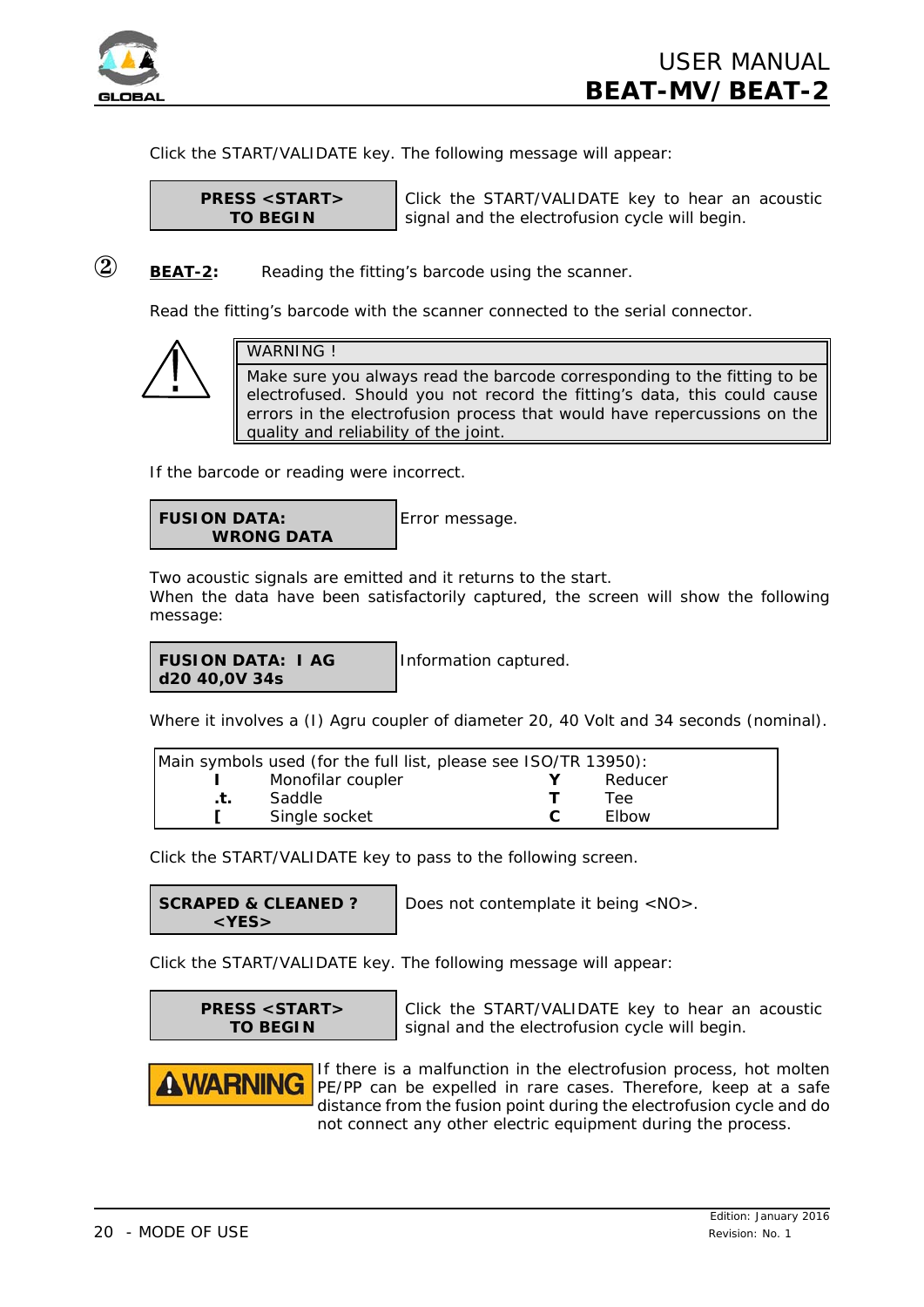

Click the START/VALIDATE key. The following message will appear:

**PRESS <START> TO BEGIN**

Click the START/VALIDATE key to hear an acoustic signal and the electrofusion cycle will begin.

# **(2) BEAT-2:** *Reading the fitting's barcode using the scanner.*

Read the fitting's barcode with the scanner connected to the serial connector.



# WARNING !

Make sure you always read the barcode corresponding to the fitting to be electrofused. Should you not record the fitting's data, this could cause errors in the electrofusion process that would have repercussions on the quality and reliability of the joint.

If the barcode or reading were incorrect.

```
FUSION DATA:
    WRONG DATA
```
Error message.

Two acoustic signals are emitted and it returns to the start. When the data have been satisfactorily captured, the screen will show the following message:

#### **FUSION DATA: I AG d20 40,0V 34s**

Information captured.

Where it involves a (I) Agru coupler of diameter 20, 40 Volt and 34 seconds (nominal).

| Main symbols used (for the full list, please see ISO/TR 13950): |                   |  |              |  |
|-----------------------------------------------------------------|-------------------|--|--------------|--|
|                                                                 | Monofilar coupler |  | Reducer      |  |
|                                                                 | Saddle            |  | Lee.         |  |
|                                                                 | Single socket     |  | <b>Flbow</b> |  |

Click the START/VALIDATE key to pass to the following screen.

**SCRAPED & CLEANED ? <YES>**

Does not contemplate it being <NO>.

Click the START/VALIDATE key. The following message will appear:

**PRESS <START> TO BEGIN**

Click the START/VALIDATE key to hear an acoustic signal and the electrofusion cycle will begin.



If there is a malfunction in the electrofusion process, hot molten PE/PP can be expelled in rare cases. Therefore, keep at a safe distance from the fusion point during the electrofusion cycle and do not connect any other electric equipment during the process.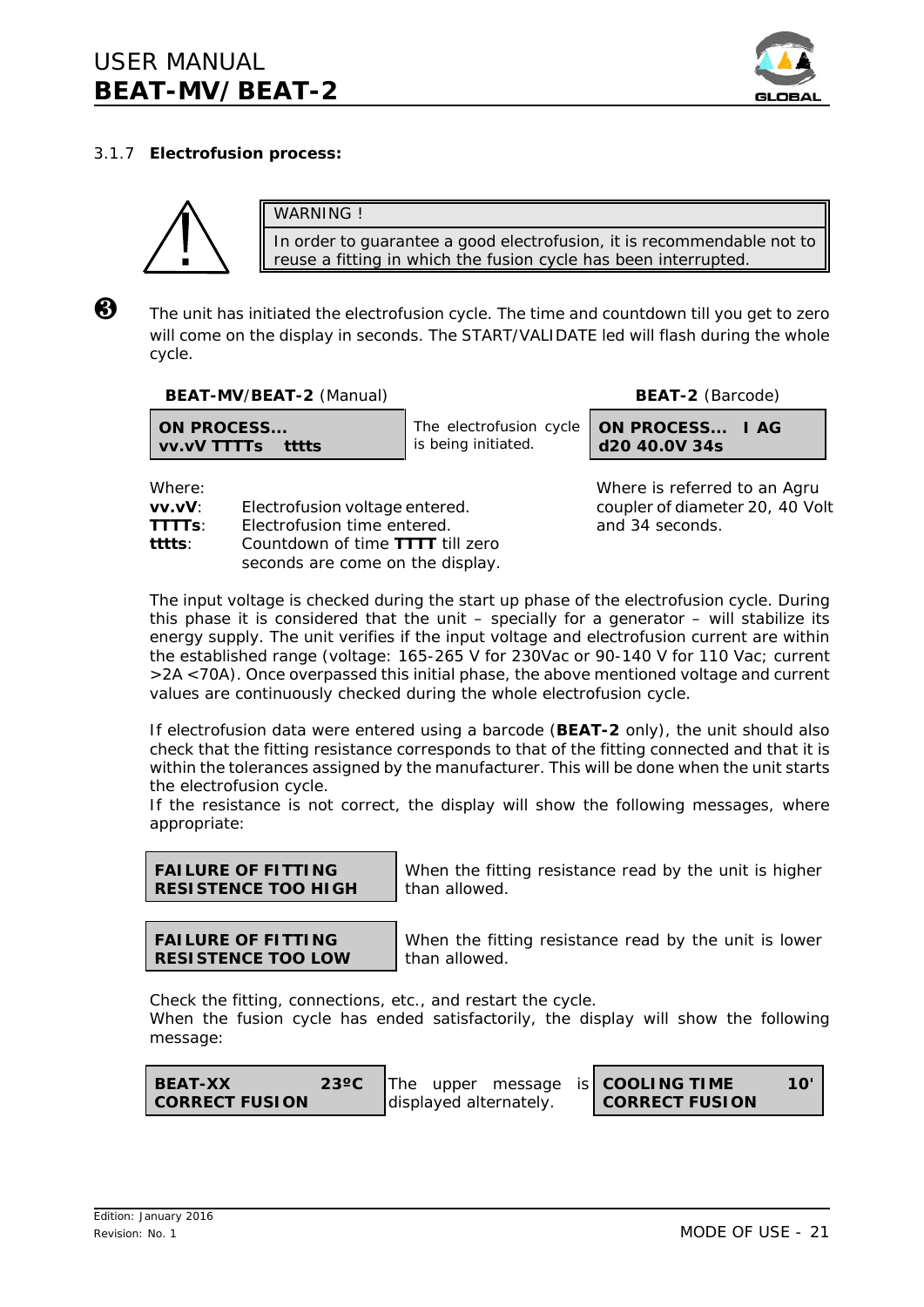

# 3.1.7 **Electrofusion process:**



WARNING ! In order to guarantee a good electrofusion, it is recommendable not to reuse a fitting in which the fusion cycle has been interrupted.

 $\bigotimes$  The unit has initiated the electrofusion cycle. The time and countdown till you get to zero will come on the display in seconds. The START/VALIDATE led will flash during the whole cycle.

**BEAT-MV**/**BEAT-2** (Manual) **BEAT-2** (Barcode)

**vv.vV TTTTs tttts**

**ON PROCESS...**

The electrofusion cycle is being initiated.

**ON PROCESS... I AG d20 40.0V 34s**

**vv.vV**: Electrofusion voltage entered. coupler of diameter 20, 40 Volt

**TTTTs**: Electrofusion time entered. and 34 seconds.

**tttts**: Countdown of time **TTTT** till zero seconds are come on the display.

Where: Where is referred to an Agru

The input voltage is checked during the start up phase of the electrofusion cycle. During this phase it is considered that the unit  $-$  specially for a generator  $-$  will stabilize its energy supply. The unit verifies if the input voltage and electrofusion current are within the established range (voltage: 165-265 V for 230Vac or 90-140 V for 110 Vac; current >2A <70A). Once overpassed this initial phase, the above mentioned voltage and current values are continuously checked during the whole electrofusion cycle.

If electrofusion data were entered using a barcode (**BEAT-2** only), the unit should also check that the fitting resistance corresponds to that of the fitting connected and that it is within the tolerances assigned by the manufacturer. This will be done when the unit starts the electrofusion cycle.

If the resistance is not correct, the display will show the following messages, where appropriate:



When the fitting resistance read by the unit is higher than allowed.

**FAILURE OF FITTING RESISTENCE TOO LOW**

When the fitting resistance read by the unit is lower than allowed.

Check the fitting, connections, etc., and restart the cycle.

When the fusion cycle has ended satisfactorily, the display will show the following message:

| <b>BEAT-XX</b>          | $23^{\circ}$ C |  |                        | The upper message is <b>COOLING TIME</b> |  |
|-------------------------|----------------|--|------------------------|------------------------------------------|--|
| <b>I CORRECT FUSION</b> |                |  | displayed alternately. | <b>CORRECT FUSION</b>                    |  |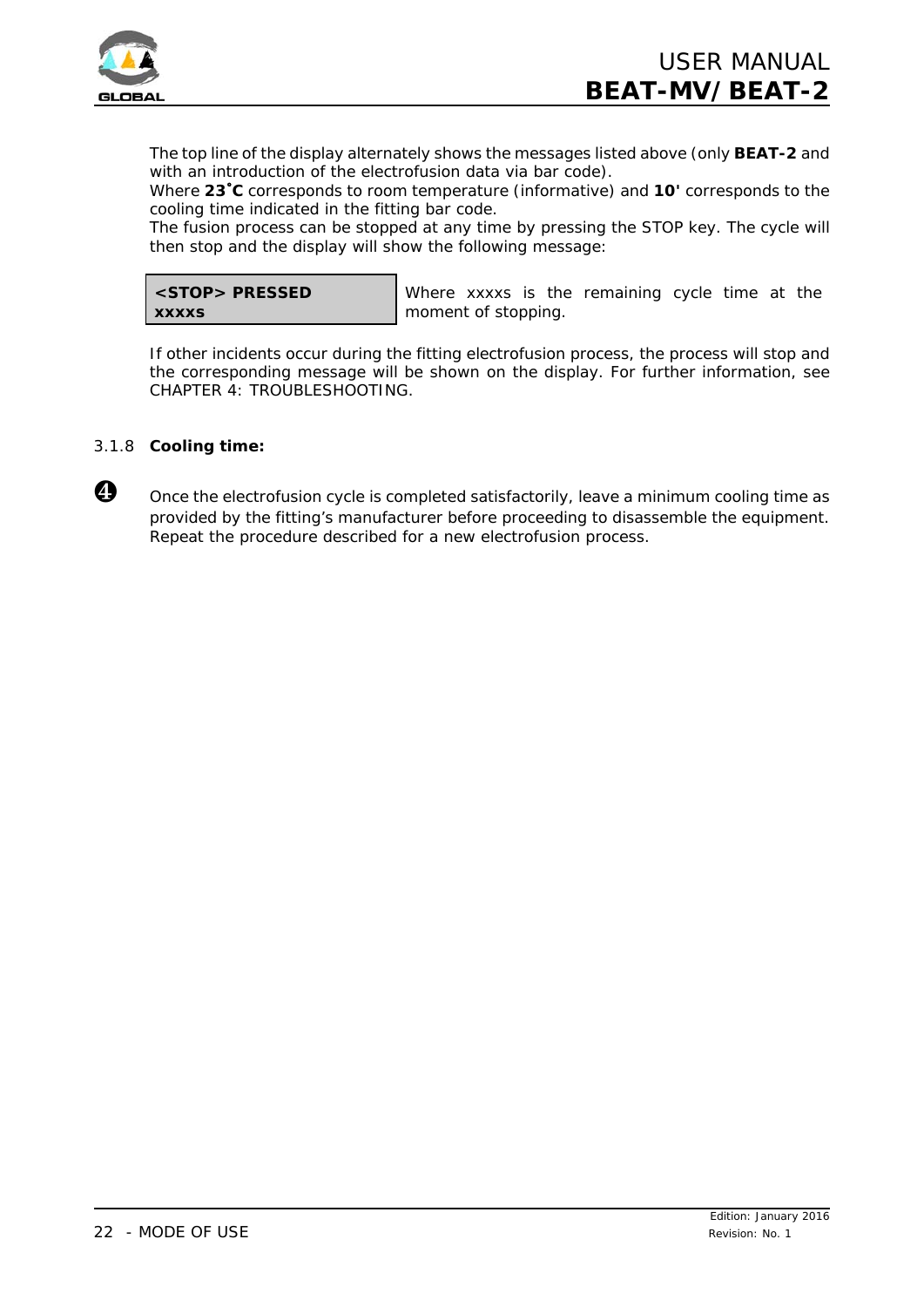

The top line of the display alternately shows the messages listed above (only **BEAT-2** and with an introduction of the electrofusion data via bar code).

Where **23**/**C** corresponds to room temperature (informative) and **10'** corresponds to the cooling time indicated in the fitting bar code.

The fusion process can be stopped at any time by pressing the STOP key. The cycle will then stop and the display will show the following message:

|              | <stop> PRESSED</stop> |
|--------------|-----------------------|
| <b>XXXXS</b> |                       |

Where xxxxs is the remaining cycle time at the moment of stopping.

If other incidents occur during the fitting electrofusion process, the process will stop and the corresponding message will be shown on the display. For further information, see CHAPTER 4: TROUBLESHOOTING.

# 3.1.8 **Cooling time:**



**<sup>1</sup>** Once the electrofusion cycle is completed satisfactorily, leave a minimum cooling time as provided by the fitting's manufacturer before proceeding to disassemble the equipment. Repeat the procedure described for a new electrofusion process.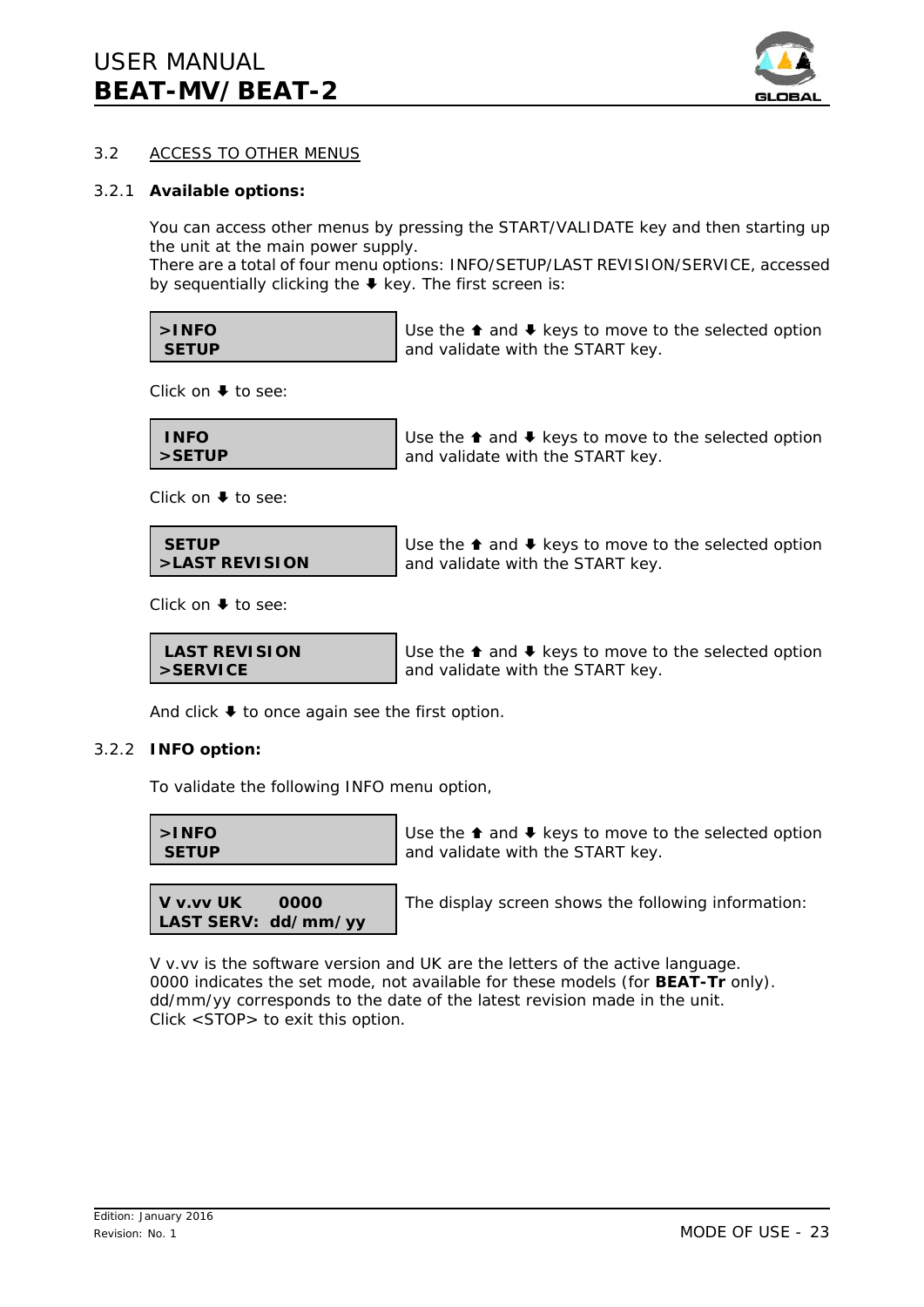

# 3.2 ACCESS TO OTHER MENUS

#### 3.2.1 **Available options:**

You can access other menus by pressing the START/VALIDATE key and then starting up the unit at the main power supply.

There are a total of four menu options: INFO/SETUP/LAST REVISION/SERVICE, accessed by sequentially clicking the  $\blacklozenge$  key. The first screen is:

| $>$ INFO     | Use the $\triangle$ and $\blacktriangleright$ keys to move to the selected option |
|--------------|-----------------------------------------------------------------------------------|
| <b>SETUP</b> | and validate with the START key.                                                  |

Click on  $\blacklozenge$  to see:

| <b>INFO</b> | Use the $\triangle$ and $\triangle$ keys to move to the selected option |
|-------------|-------------------------------------------------------------------------|
| l >SETUP    | and validate with the START key.                                        |

Click on  $\blacklozenge$  to see:

 **SETUP >LAST REVISION** Use the  $\triangle$  and  $\triangle$  keys to move to the selected option and validate with the START key.

Click on  $\blacklozenge$  to see:

 **LAST REVISION >SERVICE**

Use the  $\triangle$  and  $\triangle$  keys to move to the selected option and validate with the START key.

And click  $\blacktriangleright$  to once again see the first option.

#### 3.2.2 **INFO option:**

To validate the following INFO menu option,

| $\mathsf{S}$ NFO | Use the $\triangle$ and $\blacktriangleright$ keys to move to the selected option |
|------------------|-----------------------------------------------------------------------------------|
| <b>SETUP</b>     | and validate with the START key.                                                  |



The display screen shows the following information:

V v.vv is the software version and UK are the letters of the active language. 0000 indicates the set mode, not available for these models (for **BEAT-Tr** only). dd/mm/yy corresponds to the date of the latest revision made in the unit. Click <STOP> to exit this option.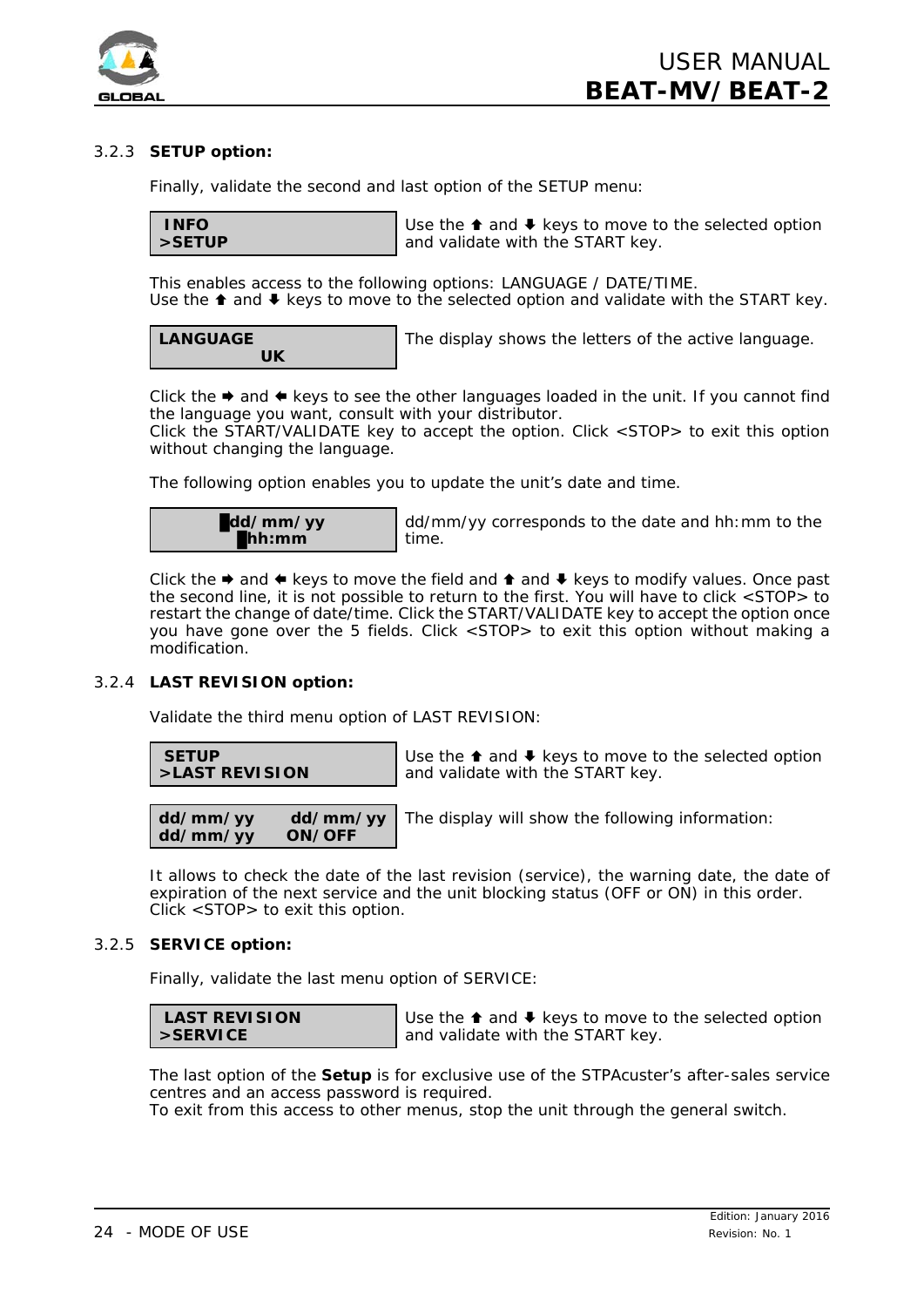

# 3.2.3 **SETUP option:**

Finally, validate the second and last option of the SETUP menu:

 **INFO >SETUP**

Use the  $\triangle$  and  $\triangle$  keys to move to the selected option and validate with the START key.

This enables access to the following options: LANGUAGE / DATE/TIME. Use the  $\triangle$  and  $\triangle$  keys to move to the selected option and validate with the START key.

**LANGUAGE UK** The display shows the letters of the active language.

Click the  $\triangleq$  and  $\triangleq$  keys to see the other languages loaded in the unit. If you cannot find the language you want, consult with your distributor.

Click the START/VALIDATE key to accept the option. Click <STOP> to exit this option without changing the language.

The following option enables you to update the unit's date and time.



dd/mm/yy corresponds to the date and hh:mm to the time.

Click the  $\Rightarrow$  and  $\Leftarrow$  keys to move the field and  $\Rightarrow$  and  $\Leftarrow$  keys to modify values. Once past the second line, it is not possible to return to the first. You will have to click <STOP> to restart the change of date/time. Click the START/VALIDATE key to accept the option once you have gone over the 5 fields. Click <STOP> to exit this option without making a modification.

# 3.2.4 **LAST REVISION option:**

Validate the third menu option of LAST REVISION:

 **SETUP >LAST REVISION**

Use the  $\triangle$  and  $\triangle$  keys to move to the selected option and validate with the START key.

**dd/mm/yy dd/mm/yy** dd/mm/yy The display will show the following information:

It allows to check the date of the last revision (service), the warning date, the date of expiration of the next service and the unit blocking status (OFF or ON) in this order. Click <STOP> to exit this option.

#### 3.2.5 **SERVICE option:**

Finally, validate the last menu option of SERVICE:

| <b>LAST REVISION</b> |  |
|----------------------|--|
| $>$ SERVICE          |  |

Use the  $\triangle$  and  $\triangle$  keys to move to the selected option and validate with the START key.

The last option of the **Setup** is for exclusive use of the STPAcuster's after-sales service centres and an access password is required.

To exit from this access to other menus, stop the unit through the general switch.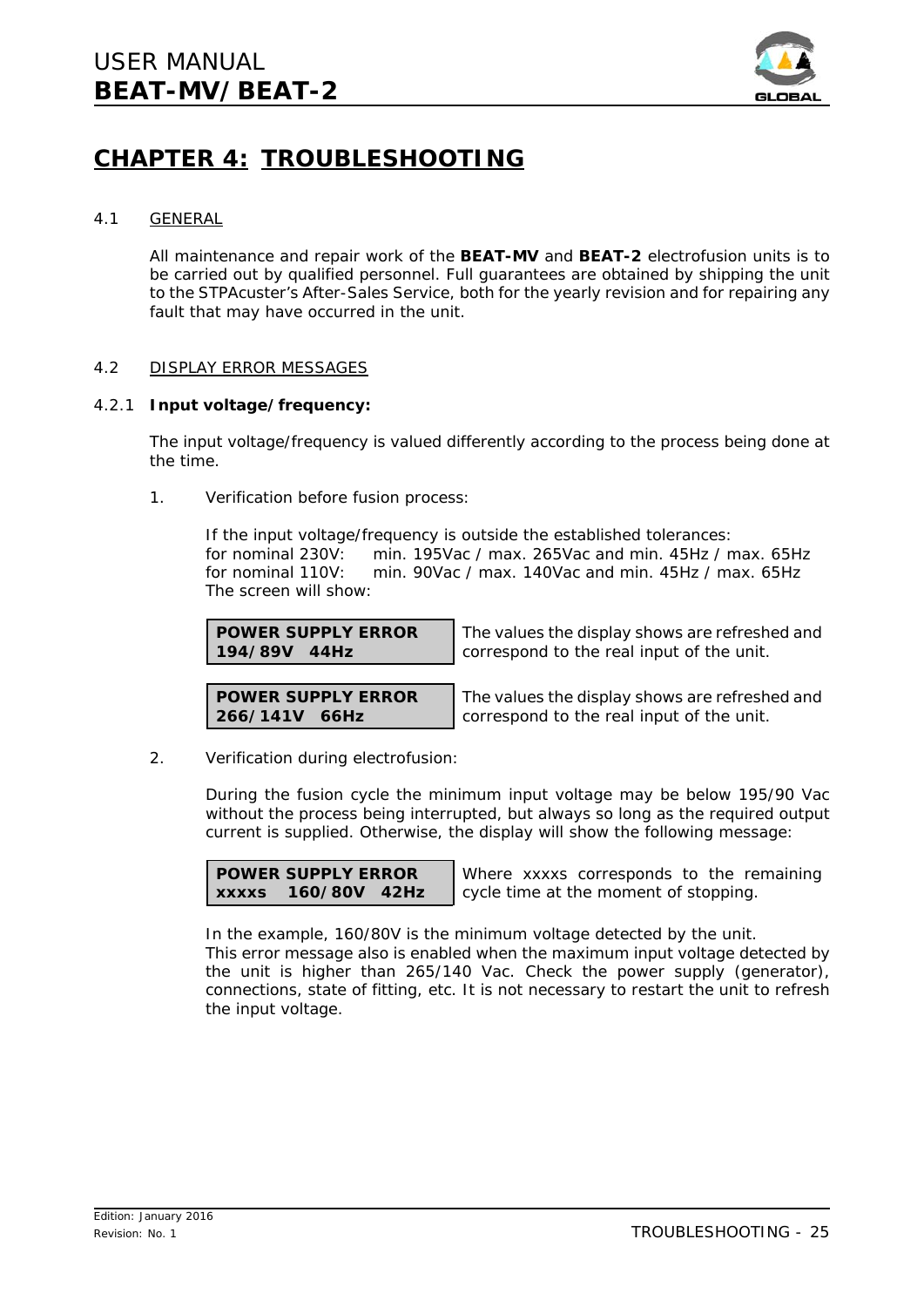

# **CHAPTER 4: TROUBLESHOOTING**

# 4.1 GENERAL

All maintenance and repair work of the **BEAT-MV** and **BEAT-2** electrofusion units is to be carried out by qualified personnel. Full guarantees are obtained by shipping the unit to the STPAcuster's After-Sales Service, both for the yearly revision and for repairing any fault that may have occurred in the unit.

# 4.2 DISPLAY ERROR MESSAGES

# 4.2.1 **Input voltage/frequency:**

The input voltage/frequency is valued differently according to the process being done at the time.

1. *Verification before fusion process:*

If the input voltage/frequency is outside the established tolerances: for nominal 230V: min. 195Vac / max. 265Vac and min. 45Hz / max. 65Hz for nominal 110V: min. 90Vac / max. 140Vac and min. 45Hz / max. 65Hz The screen will show:

**POWER SUPPLY ERROR 194/89V 44Hz**

The values the display shows are refreshed and correspond to the real input of the unit.

**POWER SUPPLY ERROR 266/141V 66Hz**

The values the display shows are refreshed and correspond to the real input of the unit.

2. *Verification during electrofusion:*

During the fusion cycle the minimum input voltage may be below 195/90 Vac without the process being interrupted, but always so long as the required output current is supplied. Otherwise, the display will show the following message:

**POWER SUPPLY ERROR xxxxs 160/80V 42Hz**

Where xxxxs corresponds to the remaining cycle time at the moment of stopping.

In the example, 160/80V is the minimum voltage detected by the unit. This error message also is enabled when the maximum input voltage detected by the unit is higher than 265/140 Vac. Check the power supply (generator), connections, state of fitting, etc. It is not necessary to restart the unit to refresh the input voltage.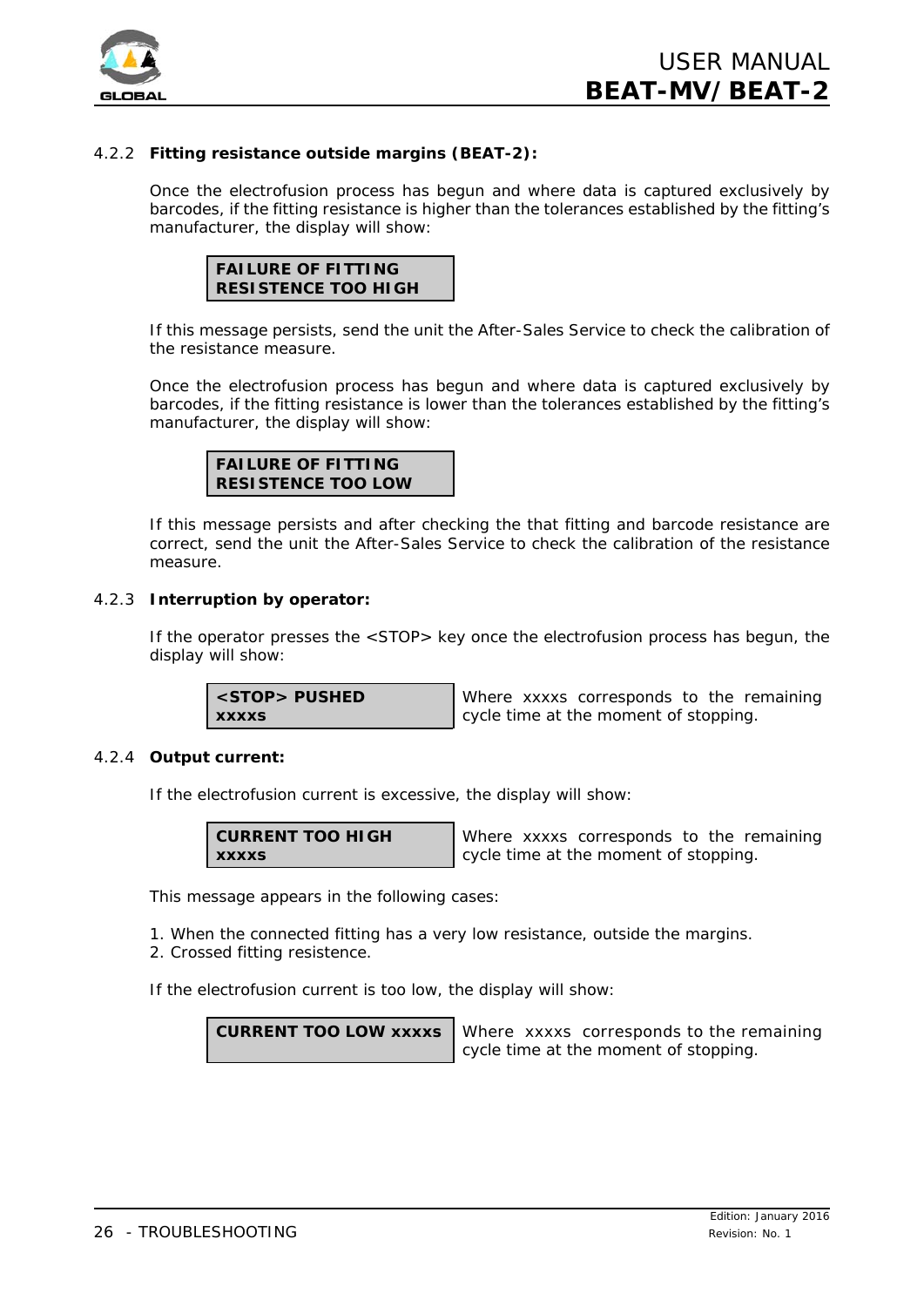

# 4.2.2 **Fitting resistance outside margins (BEAT-2):**

Once the electrofusion process has begun and where data is captured exclusively by barcodes, if the fitting resistance is higher than the tolerances established by the fitting's manufacturer, the display will show:



If this message persists, send the unit the After-Sales Service to check the calibration of the resistance measure.

Once the electrofusion process has begun and where data is captured exclusively by barcodes, if the fitting resistance is lower than the tolerances established by the fitting's manufacturer, the display will show:



If this message persists and after checking the that fitting and barcode resistance are correct, send the unit the After-Sales Service to check the calibration of the resistance measure.

#### 4.2.3 **Interruption by operator:**

If the operator presses the <STOP> key once the electrofusion process has begun, the display will show:

**<STOP> PUSHED xxxxs**

Where xxxxs corresponds to the remaining cycle time at the moment of stopping.

#### 4.2.4 **Output current:**

If the electrofusion current is excessive, the display will show:

| <b>CURRENT TOO HIGH</b> |  |
|-------------------------|--|
| <b>XXXXS</b>            |  |

Where xxxxs corresponds to the remaining cycle time at the moment of stopping.

This message appears in the following cases:

1. When the connected fitting has a very low resistance, outside the margins.

2. Crossed fitting resistence.

If the electrofusion current is too low, the display will show:

**CURRENT TOO LOW xxxxs** Where xxxxs corresponds to the remaining cycle time at the moment of stopping.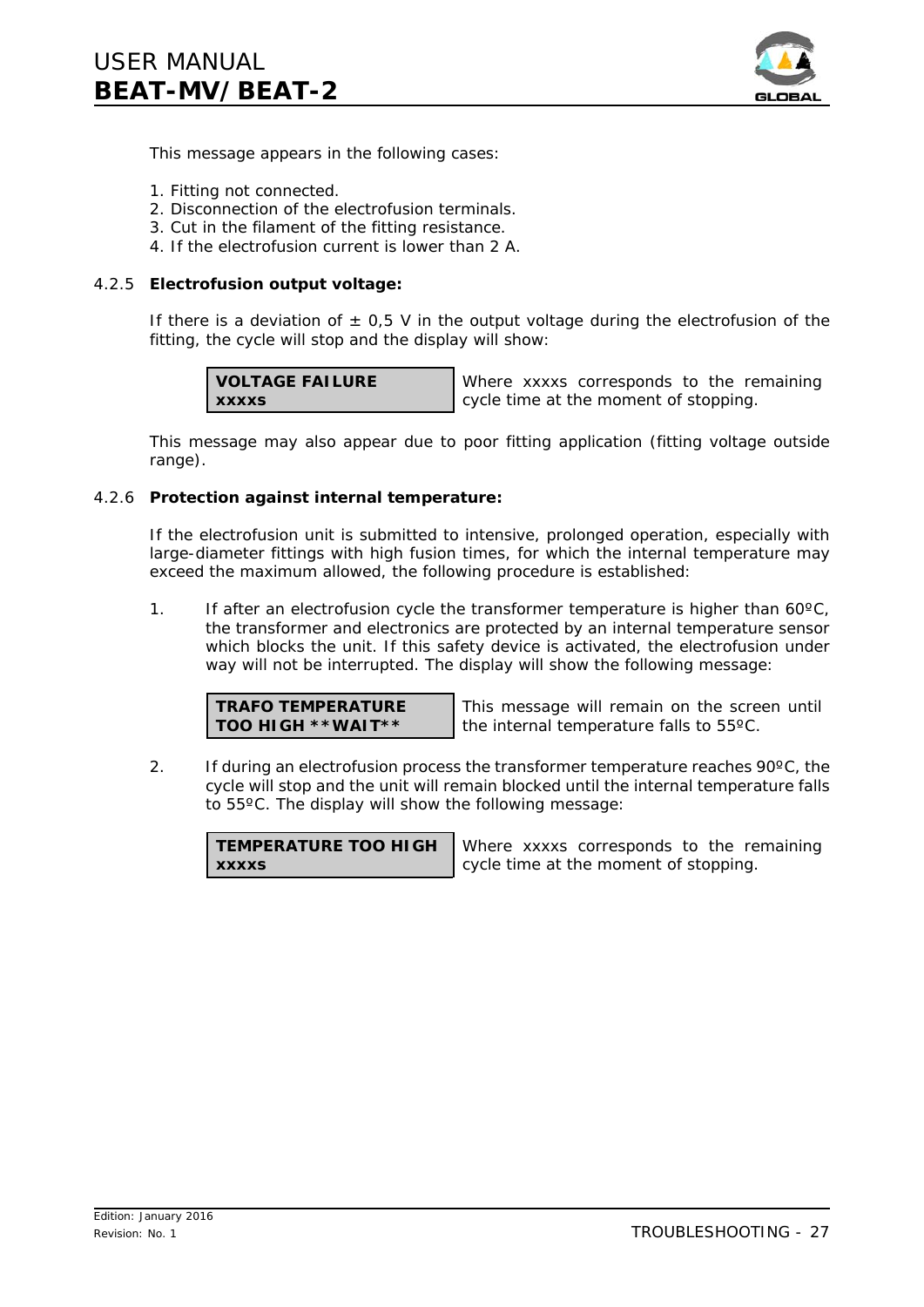

This message appears in the following cases:

- 1. Fitting not connected.
- 2. Disconnection of the electrofusion terminals.
- 3. Cut in the filament of the fitting resistance.
- 4. If the electrofusion current is lower than 2 A.

# 4.2.5 **Electrofusion output voltage:**

If there is a deviation of  $\pm$  0,5 V in the output voltage during the electrofusion of the fitting, the cycle will stop and the display will show:

**VOLTAGE FAILURE xxxxs**

Where xxxxs corresponds to the remaining cycle time at the moment of stopping.

This message may also appear due to poor fitting application (fitting voltage outside range).

# 4.2.6 **Protection against internal temperature:**

If the electrofusion unit is submitted to intensive, prolonged operation, especially with large-diameter fittings with high fusion times, for which the internal temperature may exceed the maximum allowed, the following procedure is established:

1. If after an electrofusion cycle the transformer temperature is higher than  $60^{\circ}$ C, the transformer and electronics are protected by an internal temperature sensor which blocks the unit. If this safety device is activated, the electrofusion under way will not be interrupted. The display will show the following message:

**TRAFO TEMPERATURE TOO HIGH \*\*WAIT\*\***

This message will remain on the screen until the internal temperature falls to 55ºC.

2. If during an electrofusion process the transformer temperature reaches  $90^{\circ}$ C, the cycle will stop and the unit will remain blocked until the internal temperature falls to 55ºC. The display will show the following message:

**TEMPERATURE TOO HIGH xxxxs**

Where xxxxs corresponds to the remaining cycle time at the moment of stopping.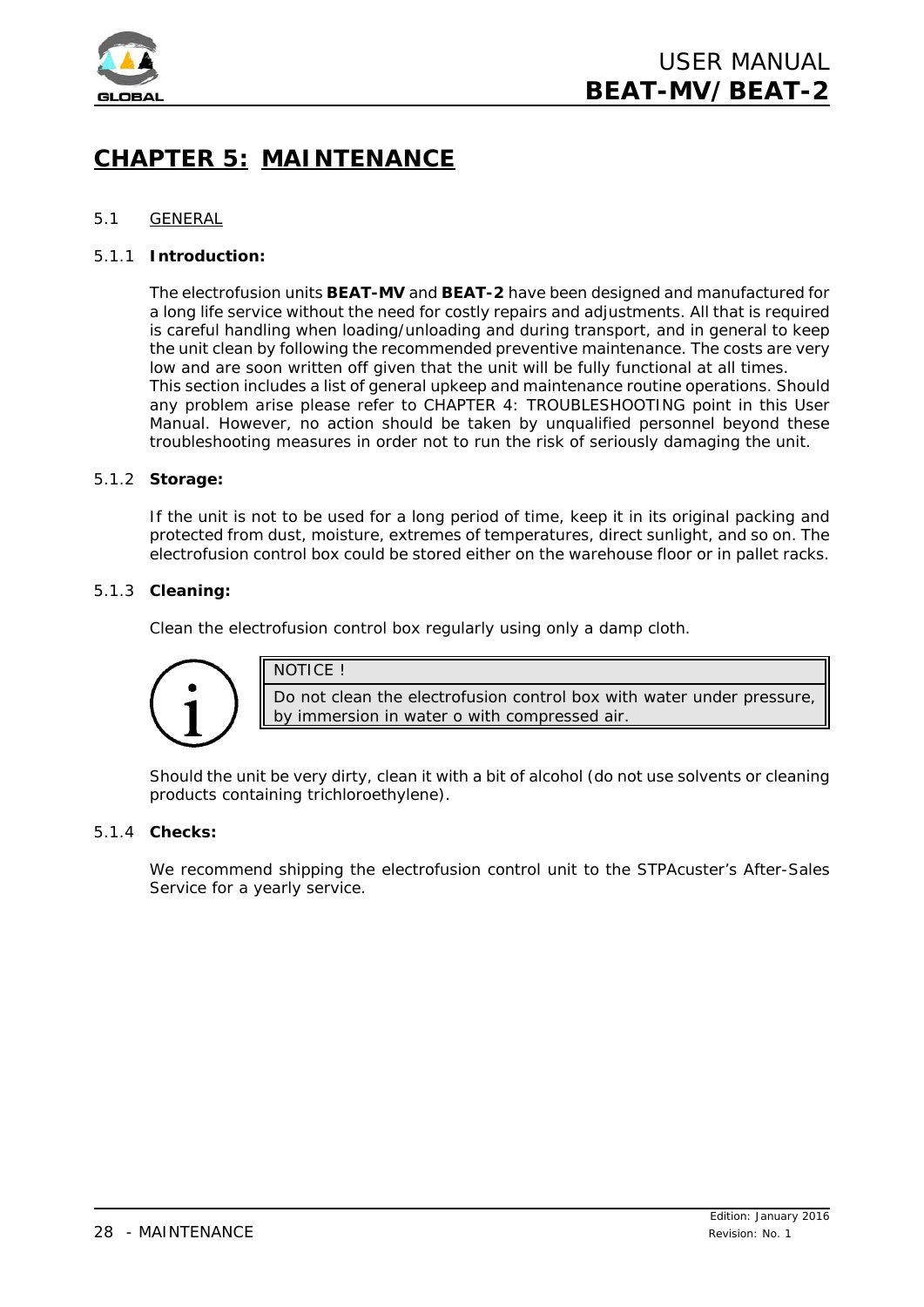

# **CHAPTER 5: MAINTENANCE**

# 5.1 GENERAL

## 5.1.1 **Introduction:**

The electrofusion units **BEAT-MV** and **BEAT-2** have been designed and manufactured for a long life service without the need for costly repairs and adjustments. All that is required is careful handling when loading/unloading and during transport, and in general to keep the unit clean by following the recommended preventive maintenance. The costs are very low and are soon written off given that the unit will be fully functional at all times. This section includes a list of general upkeep and maintenance routine operations. Should any problem arise please refer to CHAPTER 4: TROUBLESHOOTING point in this *User Manual*. However, no action should be taken by unqualified personnel beyond these troubleshooting measures in order not to run the risk of seriously damaging the unit.

#### 5.1.2 **Storage:**

If the unit is not to be used for a long period of time, keep it in its original packing and protected from dust, moisture, extremes of temperatures, direct sunlight, and so on. The electrofusion control box could be stored either on the warehouse floor or in pallet racks.

#### 5.1.3 **Cleaning:**

Clean the electrofusion control box regularly using only a damp cloth.



NOTICE !

Do not clean the electrofusion control box with water under pressure, by immersion in water o with compressed air.

Should the unit be very dirty, clean it with a bit of alcohol (do not use solvents or cleaning products containing trichloroethylene).

#### 5.1.4 **Checks:**

We recommend shipping the electrofusion control unit to the STPAcuster's After-Sales Service for a yearly service.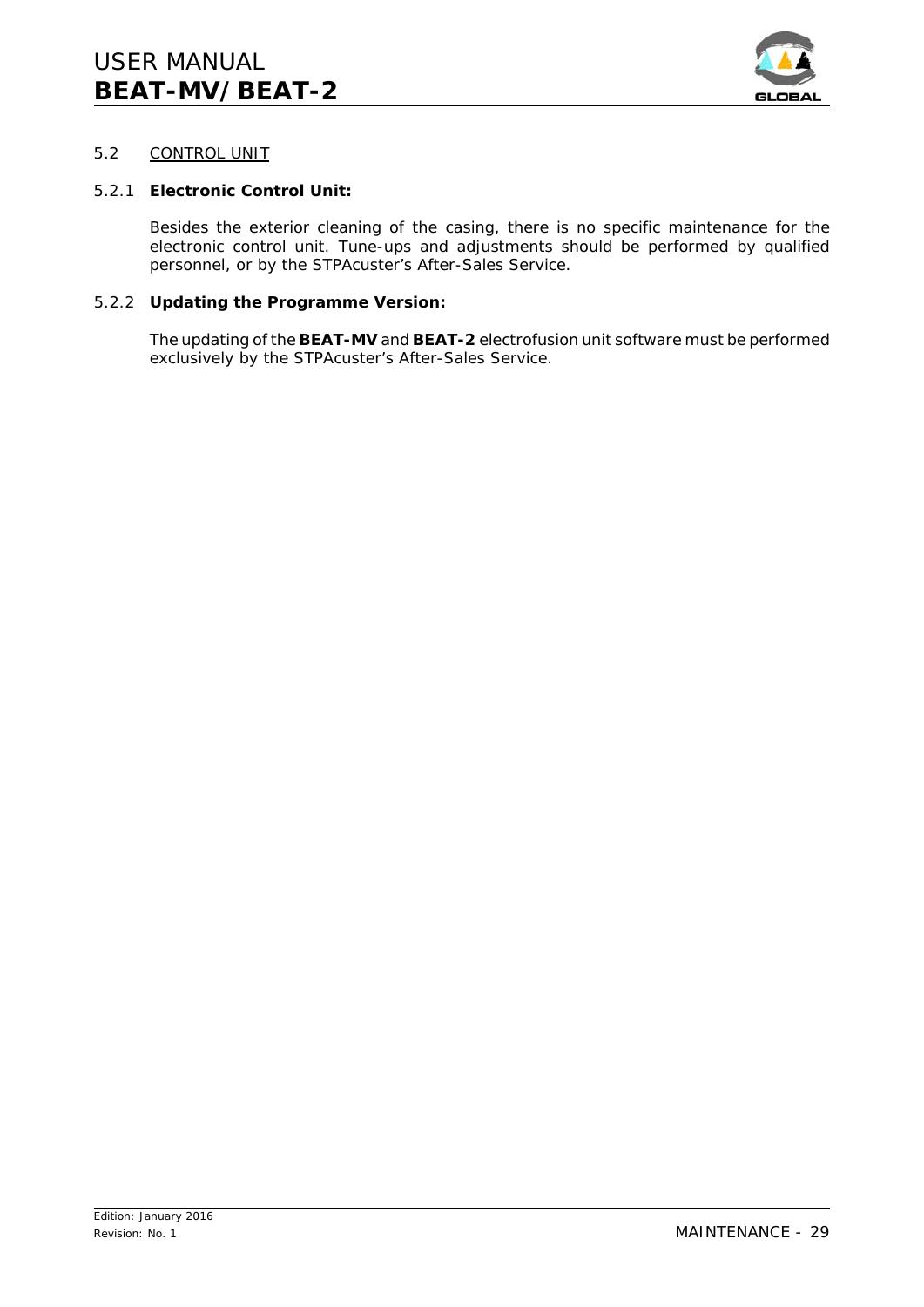

# 5.2 CONTROL UNIT

## 5.2.1 **Electronic Control Unit:**

Besides the exterior cleaning of the casing, there is no specific maintenance for the electronic control unit. Tune-ups and adjustments should be performed by qualified personnel, or by the STPAcuster's After-Sales Service.

## 5.2.2 **Updating the Programme Version:**

The updating of the **BEAT-MV** and **BEAT-2** electrofusion unit software must be performed exclusively by the STPAcuster's After-Sales Service.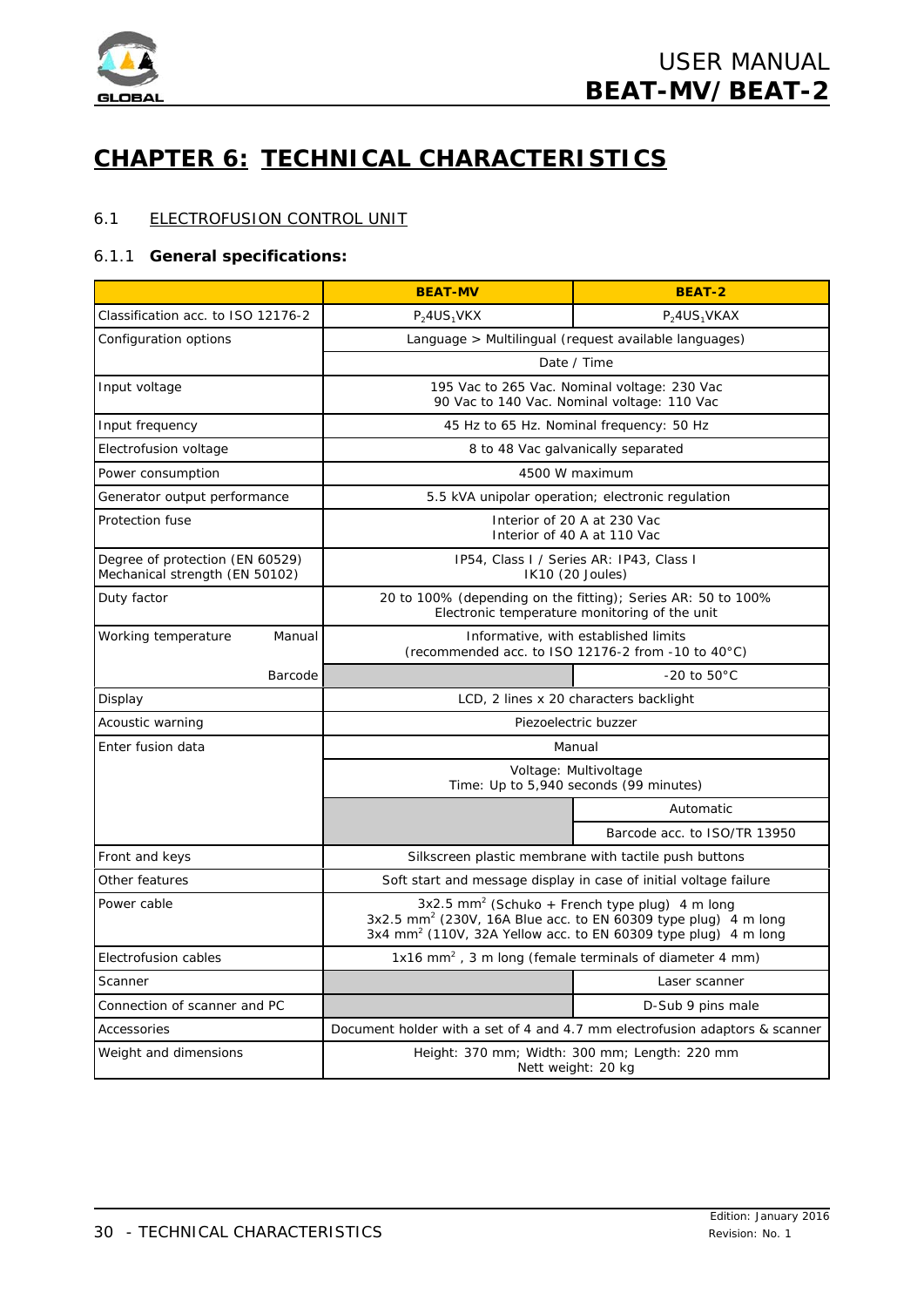

# **CHAPTER 6: TECHNICAL CHARACTERISTICS**

# 6.1 ELECTROFUSION CONTROL UNIT

## 6.1.1 **General specifications:**

|                                                                   | <b>BEAT-MV</b>                                                                                                                                                                                                         | <b>BEAT-2</b>                                                               |  |
|-------------------------------------------------------------------|------------------------------------------------------------------------------------------------------------------------------------------------------------------------------------------------------------------------|-----------------------------------------------------------------------------|--|
| Classification acc. to ISO 12176-2                                | $P_24US_1V$ KX<br>$P_24US_1VKAX$                                                                                                                                                                                       |                                                                             |  |
| Configuration options                                             | Language > Multilingual (request available languages)                                                                                                                                                                  |                                                                             |  |
|                                                                   | Date / Time                                                                                                                                                                                                            |                                                                             |  |
| Input voltage                                                     | 195 Vac to 265 Vac. Nominal voltage: 230 Vac<br>90 Vac to 140 Vac. Nominal voltage: 110 Vac                                                                                                                            |                                                                             |  |
| Input frequency                                                   | 45 Hz to 65 Hz. Nominal frequency: 50 Hz                                                                                                                                                                               |                                                                             |  |
| Electrofusion voltage                                             | 8 to 48 Vac galvanically separated                                                                                                                                                                                     |                                                                             |  |
| Power consumption                                                 |                                                                                                                                                                                                                        | 4500 W maximum                                                              |  |
| Generator output performance                                      |                                                                                                                                                                                                                        | 5.5 kVA unipolar operation; electronic regulation                           |  |
| Protection fuse                                                   | Interior of 20 A at 230 Vac<br>Interior of 40 A at 110 Vac                                                                                                                                                             |                                                                             |  |
| Degree of protection (EN 60529)<br>Mechanical strength (EN 50102) | IP54, Class I / Series AR: IP43, Class I<br>IK10 (20 Joules)                                                                                                                                                           |                                                                             |  |
| Duty factor                                                       | 20 to 100% (depending on the fitting); Series AR: 50 to 100%<br>Electronic temperature monitoring of the unit                                                                                                          |                                                                             |  |
| Working temperature<br>Manual                                     | Informative, with established limits<br>(recommended acc. to ISO 12176-2 from -10 to 40°C)                                                                                                                             |                                                                             |  |
| Barcode                                                           |                                                                                                                                                                                                                        | $-20$ to $50^{\circ}$ C                                                     |  |
| Display                                                           |                                                                                                                                                                                                                        | LCD, 2 lines x 20 characters backlight                                      |  |
| Acoustic warning                                                  | Piezoelectric buzzer                                                                                                                                                                                                   |                                                                             |  |
| Enter fusion data                                                 | Manual                                                                                                                                                                                                                 |                                                                             |  |
|                                                                   | Voltage: Multivoltage<br>Time: Up to 5,940 seconds (99 minutes)                                                                                                                                                        |                                                                             |  |
|                                                                   | Automatic                                                                                                                                                                                                              |                                                                             |  |
|                                                                   |                                                                                                                                                                                                                        | Barcode acc. to ISO/TR 13950                                                |  |
| Front and keys                                                    | Silkscreen plastic membrane with tactile push buttons                                                                                                                                                                  |                                                                             |  |
| Other features                                                    | Soft start and message display in case of initial voltage failure                                                                                                                                                      |                                                                             |  |
| Power cable                                                       | 3x2.5 mm <sup>2</sup> (Schuko + French type plug) 4 m long<br>3x2.5 mm <sup>2</sup> (230V, 16A Blue acc. to EN 60309 type plug) 4 m long<br>3x4 mm <sup>2</sup> (110V, 32A Yellow acc. to EN 60309 type plug) 4 m long |                                                                             |  |
| Electrofusion cables                                              | 1x16 mm <sup>2</sup> , 3 m long (female terminals of diameter 4 mm)                                                                                                                                                    |                                                                             |  |
| Scanner                                                           |                                                                                                                                                                                                                        | Laser scanner                                                               |  |
| Connection of scanner and PC                                      |                                                                                                                                                                                                                        | D-Sub 9 pins male                                                           |  |
| Accessories                                                       |                                                                                                                                                                                                                        | Document holder with a set of 4 and 4.7 mm electrofusion adaptors & scanner |  |
| Weight and dimensions                                             | Height: 370 mm; Width: 300 mm; Length: 220 mm<br>Nett weight: 20 kg                                                                                                                                                    |                                                                             |  |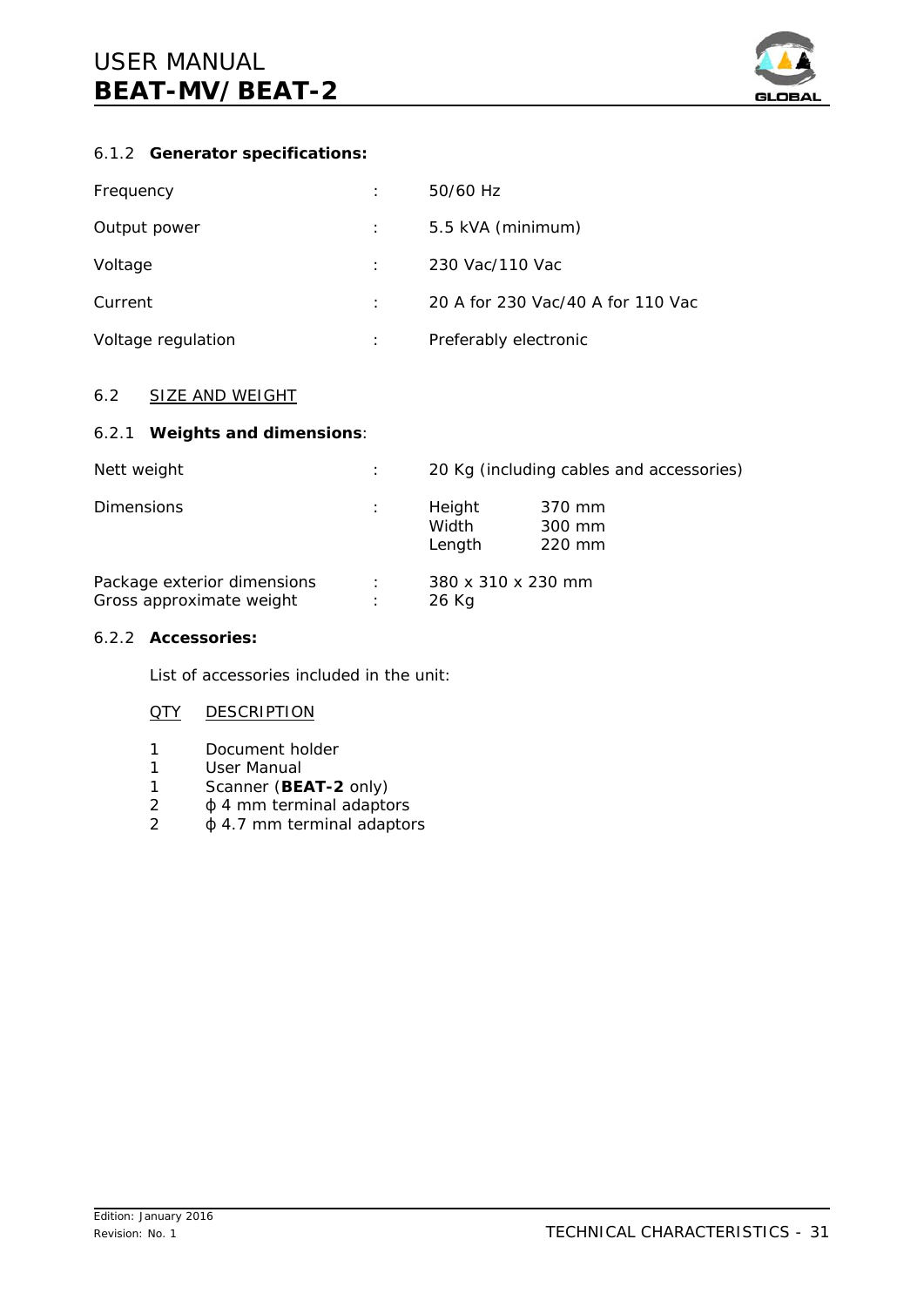

# 6.1.2 **Generator specifications:**

| Frequency          | 50/60 Hz                          |
|--------------------|-----------------------------------|
| Output power       | 5.5 kVA (minimum)                 |
| Voltage            | 230 Vac/110 Vac                   |
| Current            | 20 A for 230 Vac/40 A for 110 Vac |
| Voltage regulation | Preferably electronic             |

# 6.2 SIZE AND WEIGHT

# 6.2.1 **Weights and dimensions**:

| Nett weight                                             | ÷      | 20 Kg (including cables and accessories) |                            |
|---------------------------------------------------------|--------|------------------------------------------|----------------------------|
| <b>Dimensions</b>                                       | ÷      | Height<br>Width<br>Length                | 370 mm<br>300 mm<br>220 mm |
| Package exterior dimensions<br>Gross approximate weight | ÷<br>÷ | 380 x 310 x 230 mm<br>26 Kg              |                            |

# 6.2.2 **Accessories:**

List of accessories included in the unit:

# **QTY DESCRIPTION**

- 1 Document holder
- 1 User Manual
- 1 Scanner (**BEAT-2** only)
- $2 \phi$  4 mm terminal adaptors
- $2 \phi$  4.7 mm terminal adaptors